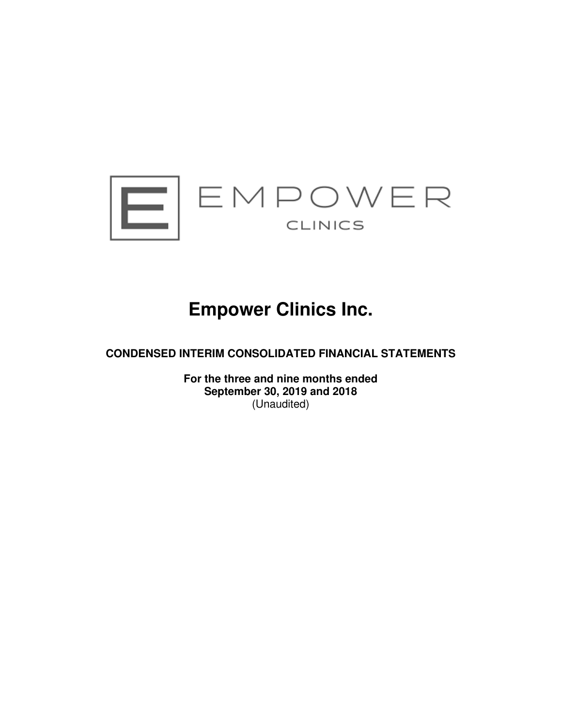

# **Empower Clinics Inc.**

**CONDENSED INTERIM CONSOLIDATED FINANCIAL STATEMENTS** 

**For the three and nine months ended September 30, 2019 and 2018**  (Unaudited)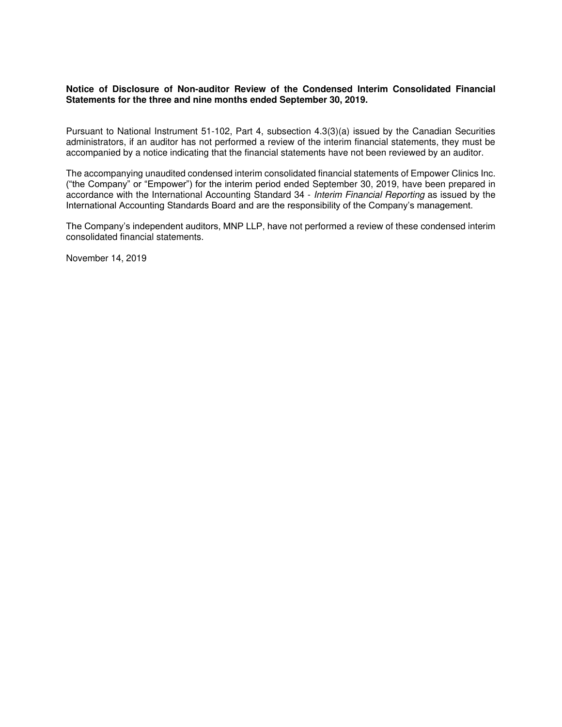### **Notice of Disclosure of Non-auditor Review of the Condensed Interim Consolidated Financial Statements for the three and nine months ended September 30, 2019.**

Pursuant to National Instrument 51-102, Part 4, subsection 4.3(3)(a) issued by the Canadian Securities administrators, if an auditor has not performed a review of the interim financial statements, they must be accompanied by a notice indicating that the financial statements have not been reviewed by an auditor.

The accompanying unaudited condensed interim consolidated financial statements of Empower Clinics Inc. ("the Company" or "Empower") for the interim period ended September 30, 2019, have been prepared in accordance with the International Accounting Standard 34 - Interim Financial Reporting as issued by the International Accounting Standards Board and are the responsibility of the Company's management.

The Company's independent auditors, MNP LLP, have not performed a review of these condensed interim consolidated financial statements.

November 14, 2019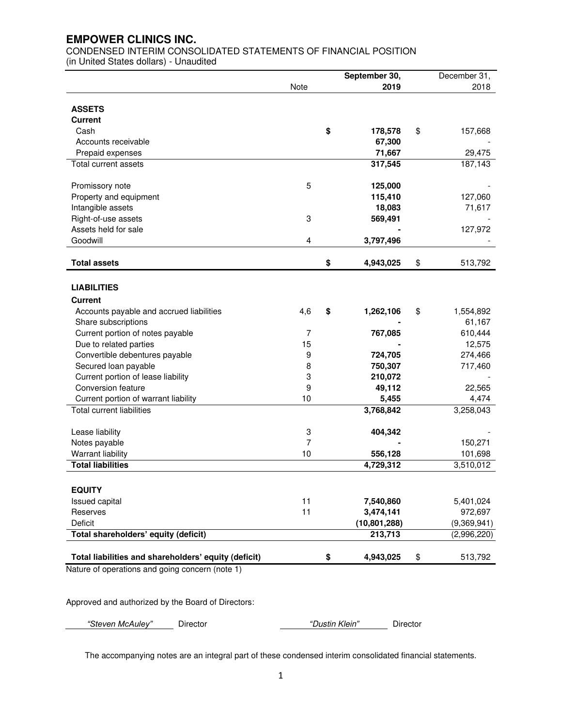CONDENSED INTERIM CONSOLIDATED STATEMENTS OF FINANCIAL POSITION (in United States dollars) - Unaudited

|                                                      |      | September 30,   | December 31, |             |  |
|------------------------------------------------------|------|-----------------|--------------|-------------|--|
|                                                      | Note | 2019            |              | 2018        |  |
|                                                      |      |                 |              |             |  |
| <b>ASSETS</b>                                        |      |                 |              |             |  |
| <b>Current</b>                                       |      |                 |              |             |  |
| Cash                                                 |      | \$<br>178,578   | \$           | 157,668     |  |
| Accounts receivable                                  |      | 67,300          |              |             |  |
| Prepaid expenses                                     |      | 71,667          |              | 29,475      |  |
| Total current assets                                 |      | 317,545         |              | 187,143     |  |
|                                                      |      |                 |              |             |  |
| Promissory note                                      | 5    | 125,000         |              |             |  |
| Property and equipment                               |      | 115,410         |              | 127,060     |  |
| Intangible assets                                    |      | 18,083          |              | 71,617      |  |
| Right-of-use assets                                  | 3    | 569,491         |              |             |  |
| Assets held for sale                                 |      |                 |              | 127,972     |  |
| Goodwill                                             | 4    | 3,797,496       |              |             |  |
| <b>Total assets</b>                                  |      | \$<br>4,943,025 | \$           | 513,792     |  |
|                                                      |      |                 |              |             |  |
| <b>LIABILITIES</b>                                   |      |                 |              |             |  |
| <b>Current</b>                                       |      |                 |              |             |  |
| Accounts payable and accrued liabilities             | 4,6  | \$<br>1,262,106 | \$           | 1,554,892   |  |
| Share subscriptions                                  |      |                 |              | 61,167      |  |
| Current portion of notes payable                     | 7    | 767,085         |              | 610,444     |  |
| Due to related parties                               | 15   |                 |              | 12,575      |  |
| Convertible debentures payable                       | 9    | 724,705         |              | 274,466     |  |
| Secured loan payable                                 | 8    | 750,307         |              | 717,460     |  |
| Current portion of lease liability                   | 3    | 210,072         |              |             |  |
| Conversion feature                                   | 9    | 49,112          |              | 22,565      |  |
| Current portion of warrant liability                 | 10   | 5,455           |              | 4,474       |  |
| <b>Total current liabilities</b>                     |      | 3,768,842       |              | 3,258,043   |  |
|                                                      |      |                 |              |             |  |
| Lease liability                                      | 3    | 404,342         |              |             |  |
| Notes payable                                        | 7    |                 |              | 150,271     |  |
| Warrant liability                                    | 10   | 556,128         |              | 101,698     |  |
| <b>Total liabilities</b>                             |      | 4,729,312       |              | 3,510,012   |  |
|                                                      |      |                 |              |             |  |
| <b>EQUITY</b>                                        |      |                 |              |             |  |
| Issued capital                                       | 11   | 7,540,860       |              | 5,401,024   |  |
| Reserves                                             | 11   | 3,474,141       |              | 972,697     |  |
| Deficit                                              |      | (10, 801, 288)  |              | (9,369,941) |  |
| Total shareholders' equity (deficit)                 |      | 213,713         |              | (2,996,220) |  |
| Total liabilities and shareholders' equity (deficit) |      | \$<br>4,943,025 | \$           | 513,792     |  |

Nature of operations and going concern (note 1)

Approved and authorized by the Board of Directors:

| "Steven McAulev"<br>Director | "Dustin Klein" | $D$ <i>rector</i> |
|------------------------------|----------------|-------------------|
|------------------------------|----------------|-------------------|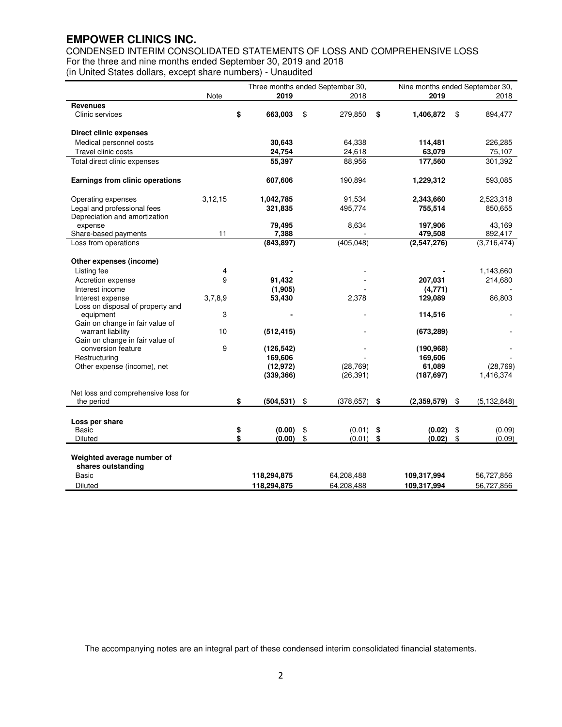CONDENSED INTERIM CONSOLIDATED STATEMENTS OF LOSS AND COMPREHENSIVE LOSS For the three and nine months ended September 30, 2019 and 2018 (in United States dollars, except share numbers) - Unaudited

|                                                   |           |          |                  | Three months ended September 30, | Nine months ended September 30, |             |    |               |
|---------------------------------------------------|-----------|----------|------------------|----------------------------------|---------------------------------|-------------|----|---------------|
|                                                   | Note      |          | 2019             | 2018                             |                                 | 2019        |    | 2018          |
| <b>Revenues</b>                                   |           |          |                  |                                  |                                 |             |    |               |
| Clinic services                                   |           | \$       | 663,003          | \$<br>279,850                    | \$                              | 1,406,872   | \$ | 894,477       |
| <b>Direct clinic expenses</b>                     |           |          |                  |                                  |                                 |             |    |               |
| Medical personnel costs                           |           |          | 30,643           | 64,338                           |                                 | 114,481     |    | 226,285       |
| Travel clinic costs                               |           |          | 24,754           | 24,618                           |                                 | 63,079      |    | 75,107        |
| Total direct clinic expenses                      |           |          | 55,397           | 88,956                           |                                 | 177,560     |    | 301,392       |
|                                                   |           |          |                  |                                  |                                 |             |    |               |
| Earnings from clinic operations                   |           |          | 607,606          | 190,894                          |                                 | 1,229,312   |    | 593,085       |
| Operating expenses                                | 3, 12, 15 |          | 1,042,785        | 91,534                           |                                 | 2,343,660   |    | 2,523,318     |
| Legal and professional fees                       |           |          | 321,835          | 495,774                          |                                 | 755,514     |    | 850,655       |
| Depreciation and amortization                     |           |          |                  |                                  |                                 |             |    |               |
| expense                                           |           |          | 79,495           | 8,634                            |                                 | 197,906     |    | 43,169        |
| Share-based payments                              | 11        |          | 7,388            |                                  |                                 | 479,508     |    | 892,417       |
| Loss from operations                              |           |          | (843, 897)       | (405, 048)                       |                                 | (2,547,276) |    | (3,716,474)   |
| Other expenses (income)                           |           |          |                  |                                  |                                 |             |    |               |
| Listing fee                                       | 4         |          |                  |                                  |                                 |             |    | 1,143,660     |
| Accretion expense                                 | 9         |          | 91,432           |                                  |                                 | 207,031     |    | 214,680       |
| Interest income                                   |           |          | (1,905)          |                                  |                                 | (4,771)     |    |               |
| Interest expense                                  | 3,7,8,9   |          | 53,430           | 2,378                            |                                 | 129,089     |    | 86,803        |
| Loss on disposal of property and                  |           |          |                  |                                  |                                 |             |    |               |
| equipment                                         | 3         |          |                  |                                  |                                 | 114,516     |    |               |
| Gain on change in fair value of                   |           |          |                  |                                  |                                 |             |    |               |
| warrant liability                                 | 10        |          | (512, 415)       |                                  |                                 | (673, 289)  |    |               |
| Gain on change in fair value of                   |           |          |                  |                                  |                                 |             |    |               |
| conversion feature                                | 9         |          | (126, 542)       |                                  |                                 | (190, 968)  |    |               |
| Restructuring                                     |           |          | 169,606          |                                  |                                 | 169,606     |    |               |
| Other expense (income), net                       |           |          | (12, 972)        | (28, 769)                        |                                 | 61,089      |    | (28, 769)     |
|                                                   |           |          | (339, 366)       | (26, 391)                        |                                 | (187, 697)  |    | 1,416,374     |
|                                                   |           |          |                  |                                  |                                 |             |    |               |
| Net loss and comprehensive loss for<br>the period |           | \$       | (504, 531)       | \$<br>(378, 657)                 | \$                              | (2,359,579) | \$ | (5, 132, 848) |
|                                                   |           |          |                  |                                  |                                 |             |    |               |
|                                                   |           |          |                  |                                  |                                 |             |    |               |
| Loss per share                                    |           |          |                  |                                  |                                 |             |    |               |
| Basic                                             |           | \$<br>\$ | (0.00)<br>(0.00) | \$<br>(0.01)                     | \$<br>\$                        | (0.02)      | \$ | (0.09)        |
| <b>Diluted</b>                                    |           |          |                  | \$<br>(0.01)                     |                                 | (0.02)      | \$ | (0.09)        |
|                                                   |           |          |                  |                                  |                                 |             |    |               |
| Weighted average number of<br>shares outstanding  |           |          |                  |                                  |                                 |             |    |               |
|                                                   |           |          |                  |                                  |                                 |             |    |               |
| Basic                                             |           |          | 118,294,875      | 64,208,488                       |                                 | 109,317,994 |    | 56,727,856    |
| Diluted                                           |           |          | 118,294,875      | 64,208,488                       |                                 | 109,317,994 |    | 56,727,856    |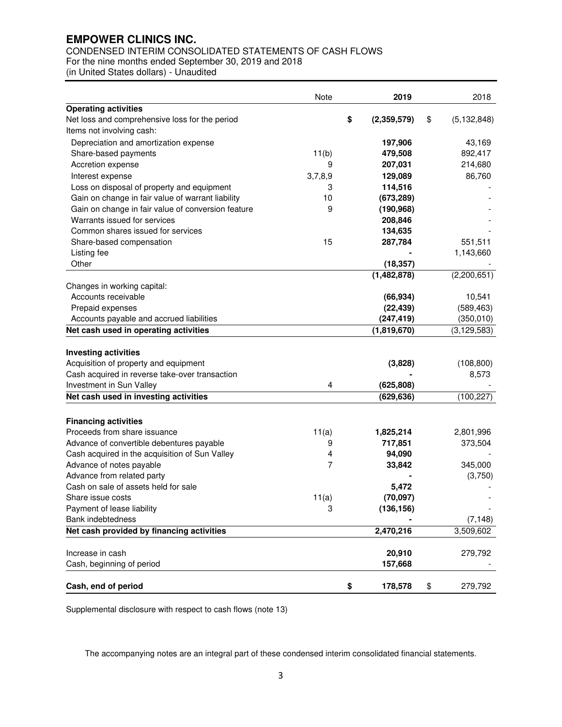# CONDENSED INTERIM CONSOLIDATED STATEMENTS OF CASH FLOWS

For the nine months ended September 30, 2019 and 2018

(in United States dollars) - Unaudited

|                                                                                                                                                                                             | Note    | 2019                                | 2018                              |
|---------------------------------------------------------------------------------------------------------------------------------------------------------------------------------------------|---------|-------------------------------------|-----------------------------------|
| <b>Operating activities</b>                                                                                                                                                                 |         |                                     |                                   |
| Net loss and comprehensive loss for the period                                                                                                                                              |         | \$<br>(2,359,579)                   | \$<br>(5, 132, 848)               |
| Items not involving cash:                                                                                                                                                                   |         |                                     |                                   |
| Depreciation and amortization expense                                                                                                                                                       |         | 197,906                             | 43,169                            |
| Share-based payments                                                                                                                                                                        | 11(b)   | 479,508                             | 892,417                           |
| Accretion expense                                                                                                                                                                           | 9       | 207,031                             | 214,680                           |
| Interest expense                                                                                                                                                                            | 3,7,8,9 | 129,089                             | 86,760                            |
| Loss on disposal of property and equipment                                                                                                                                                  | 3       | 114,516                             |                                   |
| Gain on change in fair value of warrant liability                                                                                                                                           | 10      | (673, 289)                          |                                   |
| Gain on change in fair value of conversion feature                                                                                                                                          | 9       | (190, 968)                          |                                   |
| Warrants issued for services                                                                                                                                                                |         | 208,846                             |                                   |
| Common shares issued for services                                                                                                                                                           |         | 134,635                             |                                   |
| Share-based compensation                                                                                                                                                                    | 15      | 287,784                             | 551,511                           |
| Listing fee                                                                                                                                                                                 |         |                                     | 1,143,660                         |
| Other                                                                                                                                                                                       |         | (18, 357)                           |                                   |
|                                                                                                                                                                                             |         | (1,482,878)                         | (2,200,651)                       |
| Changes in working capital:                                                                                                                                                                 |         |                                     |                                   |
| Accounts receivable                                                                                                                                                                         |         | (66, 934)                           | 10,541                            |
| Prepaid expenses                                                                                                                                                                            |         | (22, 439)                           | (589, 463)                        |
| Accounts payable and accrued liabilities                                                                                                                                                    |         | (247, 419)                          | (350, 010)                        |
| Net cash used in operating activities                                                                                                                                                       |         | (1,819,670)                         | (3, 129, 583)                     |
| <b>Investing activities</b><br>Acquisition of property and equipment<br>Cash acquired in reverse take-over transaction<br>Investment in Sun Valley<br>Net cash used in investing activities | 4       | (3,828)<br>(625, 808)<br>(629, 636) | (108, 800)<br>8,573<br>(100, 227) |
| <b>Financing activities</b>                                                                                                                                                                 |         |                                     |                                   |
| Proceeds from share issuance                                                                                                                                                                | 11(a)   | 1,825,214                           | 2,801,996                         |
| Advance of convertible debentures payable                                                                                                                                                   | 9       | 717,851                             | 373,504                           |
| Cash acquired in the acquisition of Sun Valley                                                                                                                                              | 4       | 94,090                              |                                   |
| Advance of notes payable                                                                                                                                                                    | 7       | 33,842                              | 345,000                           |
| Advance from related party                                                                                                                                                                  |         |                                     | (3,750)                           |
| Cash on sale of assets held for sale                                                                                                                                                        |         | 5,472                               |                                   |
| Share issue costs                                                                                                                                                                           | 11(a)   | (70, 097)                           |                                   |
| Payment of lease liability                                                                                                                                                                  | 3       | (136, 156)                          |                                   |
| Bank indebtedness                                                                                                                                                                           |         |                                     | (7, 148)                          |
| Net cash provided by financing activities                                                                                                                                                   |         | 2,470,216                           | 3,509,602                         |
|                                                                                                                                                                                             |         |                                     |                                   |
| Increase in cash                                                                                                                                                                            |         | 20,910                              | 279,792                           |
| Cash, beginning of period                                                                                                                                                                   |         | 157,668                             |                                   |
|                                                                                                                                                                                             |         |                                     |                                   |
| Cash, end of period                                                                                                                                                                         |         | \$<br>178,578                       | \$<br>279,792                     |

Supplemental disclosure with respect to cash flows (note 13)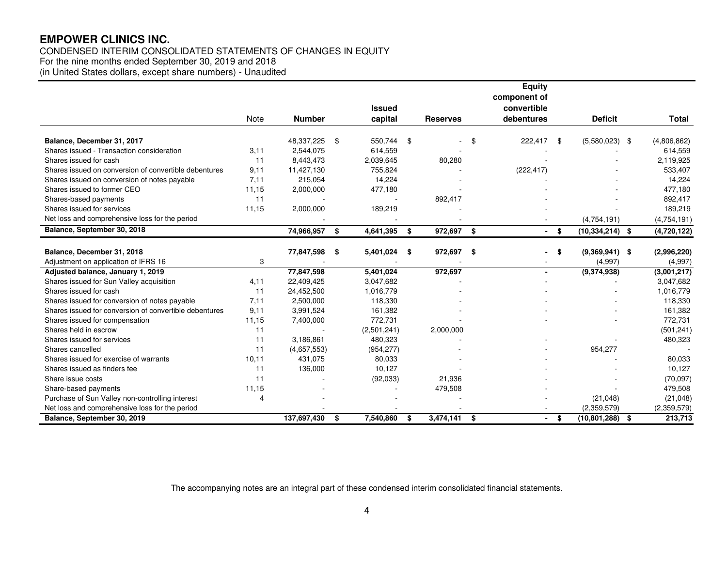# CONDENSED INTERIM CONSOLIDATED STATEMENTS OF CHANGES IN EQUITY

For the nine months ended September 30, 2019 and 2018

(in United States dollars, except share numbers) - Unaudited

|                                                        |       |               |                          |                 |      | <b>Equity</b>             |      |                     |               |
|--------------------------------------------------------|-------|---------------|--------------------------|-----------------|------|---------------------------|------|---------------------|---------------|
|                                                        |       |               |                          |                 |      | component of              |      |                     |               |
|                                                        | Note  | <b>Number</b> | <b>Issued</b><br>capital | <b>Reserves</b> |      | convertible<br>debentures |      | <b>Deficit</b>      | Total         |
|                                                        |       |               |                          |                 |      |                           |      |                     |               |
| Balance, December 31, 2017                             |       | 48,337,225    | \$<br>550,744            | \$              | \$   | 222,417                   | -\$  | $(5,580,023)$ \$    | (4,806,862)   |
| Shares issued - Transaction consideration              | 3,11  | 2,544,075     | 614,559                  |                 |      |                           |      |                     | 614,559       |
| Shares issued for cash                                 | 11    | 8,443,473     | 2,039,645                | 80,280          |      |                           |      |                     | 2,119,925     |
| Shares issued on conversion of convertible debentures  | 9,11  | 11,427,130    | 755,824                  |                 |      | (222, 417)                |      |                     | 533,407       |
| Shares issued on conversion of notes payable           | 7,11  | 215,054       | 14,224                   |                 |      |                           |      |                     | 14,224        |
| Shares issued to former CEO                            | 11,15 | 2,000,000     | 477,180                  |                 |      |                           |      |                     | 477,180       |
| Shares-based payments                                  | 11    |               |                          | 892,417         |      |                           |      |                     | 892,417       |
| Shares issued for services                             | 11,15 | 2,000,000     | 189,219                  |                 |      |                           |      |                     | 189,219       |
| Net loss and comprehensive loss for the period         |       |               |                          |                 |      |                           |      | (4,754,191)         | (4, 754, 191) |
| Balance, September 30, 2018                            |       | 74,966,957    | \$<br>4,641,395          | \$<br>972,697   | \$   |                           | - \$ | $(10, 334, 214)$ \$ | (4,720,122)   |
| Balance, December 31, 2018                             |       | 77,847,598    | \$<br>5,401,024          | \$<br>972,697   | -\$  |                           | \$   | $(9,369,941)$ \$    | (2,996,220)   |
| Adjustment on application of IFRS 16                   | 3     |               |                          |                 |      |                           |      | (4,997)             | (4,997)       |
| Adjusted balance, January 1, 2019                      |       | 77,847,598    | 5,401,024                | 972,697         |      |                           |      | (9,374,938)         | (3,001,217)   |
| Shares issued for Sun Valley acquisition               | 4,11  | 22,409,425    | 3,047,682                |                 |      |                           |      |                     | 3,047,682     |
| Shares issued for cash                                 | 11    | 24,452,500    | 1,016,779                |                 |      |                           |      |                     | 1,016,779     |
| Shares issued for conversion of notes payable          | 7,11  | 2,500,000     | 118,330                  |                 |      |                           |      |                     | 118,330       |
| Shares issued for conversion of convertible debentures | 9,11  | 3,991,524     | 161,382                  |                 |      |                           |      |                     | 161,382       |
| Shares issued for compensation                         | 11,15 | 7,400,000     | 772,731                  |                 |      |                           |      |                     | 772,731       |
| Shares held in escrow                                  | 11    |               | (2,501,241)              | 2,000,000       |      |                           |      |                     | (501, 241)    |
| Shares issued for services                             | 11    | 3,186,861     | 480,323                  |                 |      |                           |      |                     | 480,323       |
| Shares cancelled                                       | 11    | (4,657,553)   | (954, 277)               |                 |      |                           |      | 954,277             |               |
| Shares issued for exercise of warrants                 | 10,11 | 431,075       | 80,033                   |                 |      |                           |      |                     | 80,033        |
| Shares issued as finders fee                           | 11    | 136,000       | 10,127                   |                 |      |                           |      |                     | 10,127        |
| Share issue costs                                      | 11    |               | (92,033)                 | 21,936          |      |                           |      |                     | (70,097)      |
| Share-based payments                                   | 11,15 |               |                          | 479,508         |      |                           |      |                     | 479,508       |
| Purchase of Sun Valley non-controlling interest        | Δ     |               |                          |                 |      |                           |      | (21,048)            | (21, 048)     |
| Net loss and comprehensive loss for the period         |       |               |                          |                 |      |                           |      | (2,359,579)         | (2,359,579)   |
| Balance, September 30, 2019                            |       | 137,697,430   | \$<br>7,540,860          | \$<br>3,474,141 | - \$ | $\sim$                    | \$   | (10, 801, 288)      | \$<br>213,713 |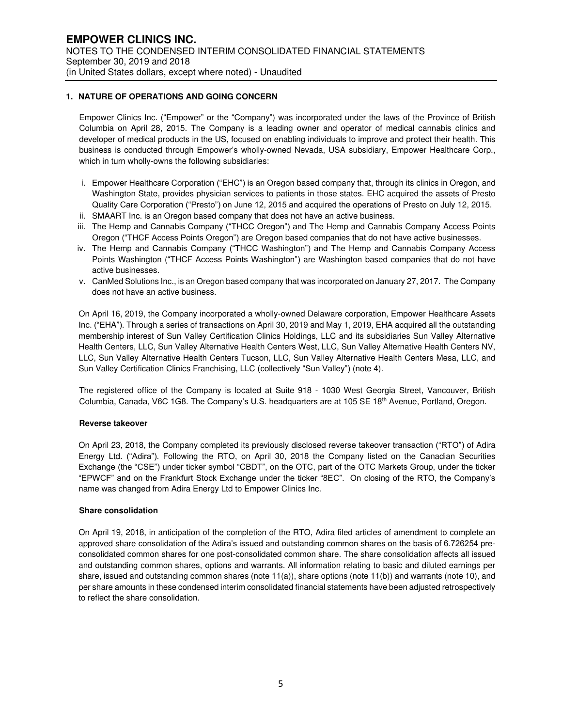#### **1. NATURE OF OPERATIONS AND GOING CONCERN**

Empower Clinics Inc. ("Empower" or the "Company") was incorporated under the laws of the Province of British Columbia on April 28, 2015. The Company is a leading owner and operator of medical cannabis clinics and developer of medical products in the US, focused on enabling individuals to improve and protect their health. This business is conducted through Empower's wholly-owned Nevada, USA subsidiary, Empower Healthcare Corp., which in turn wholly-owns the following subsidiaries:

- i. Empower Healthcare Corporation ("EHC") is an Oregon based company that, through its clinics in Oregon, and Washington State, provides physician services to patients in those states. EHC acquired the assets of Presto Quality Care Corporation ("Presto") on June 12, 2015 and acquired the operations of Presto on July 12, 2015.
- ii. SMAART Inc. is an Oregon based company that does not have an active business.
- iii. The Hemp and Cannabis Company ("THCC Oregon") and The Hemp and Cannabis Company Access Points Oregon ("THCF Access Points Oregon") are Oregon based companies that do not have active businesses.
- iv. The Hemp and Cannabis Company ("THCC Washington") and The Hemp and Cannabis Company Access Points Washington ("THCF Access Points Washington") are Washington based companies that do not have active businesses.
- v. CanMed Solutions Inc., is an Oregon based company that was incorporated on January 27, 2017. The Company does not have an active business.

On April 16, 2019, the Company incorporated a wholly-owned Delaware corporation, Empower Healthcare Assets Inc. ("EHA"). Through a series of transactions on April 30, 2019 and May 1, 2019, EHA acquired all the outstanding membership interest of Sun Valley Certification Clinics Holdings, LLC and its subsidiaries Sun Valley Alternative Health Centers, LLC, Sun Valley Alternative Health Centers West, LLC, Sun Valley Alternative Health Centers NV, LLC, Sun Valley Alternative Health Centers Tucson, LLC, Sun Valley Alternative Health Centers Mesa, LLC, and Sun Valley Certification Clinics Franchising, LLC (collectively "Sun Valley") (note 4).

The registered office of the Company is located at Suite 918 - 1030 West Georgia Street, Vancouver, British Columbia, Canada, V6C 1G8. The Company's U.S. headquarters are at 105 SE 18th Avenue, Portland, Oregon.

#### **Reverse takeover**

On April 23, 2018, the Company completed its previously disclosed reverse takeover transaction ("RTO") of Adira Energy Ltd. ("Adira"). Following the RTO, on April 30, 2018 the Company listed on the Canadian Securities Exchange (the "CSE") under ticker symbol "CBDT", on the OTC, part of the OTC Markets Group, under the ticker "EPWCF" and on the Frankfurt Stock Exchange under the ticker "8EC". On closing of the RTO, the Company's name was changed from Adira Energy Ltd to Empower Clinics Inc.

#### **Share consolidation**

On April 19, 2018, in anticipation of the completion of the RTO, Adira filed articles of amendment to complete an approved share consolidation of the Adira's issued and outstanding common shares on the basis of 6.726254 preconsolidated common shares for one post-consolidated common share. The share consolidation affects all issued and outstanding common shares, options and warrants. All information relating to basic and diluted earnings per share, issued and outstanding common shares (note 11(a)), share options (note 11(b)) and warrants (note 10), and per share amounts in these condensed interim consolidated financial statements have been adjusted retrospectively to reflect the share consolidation.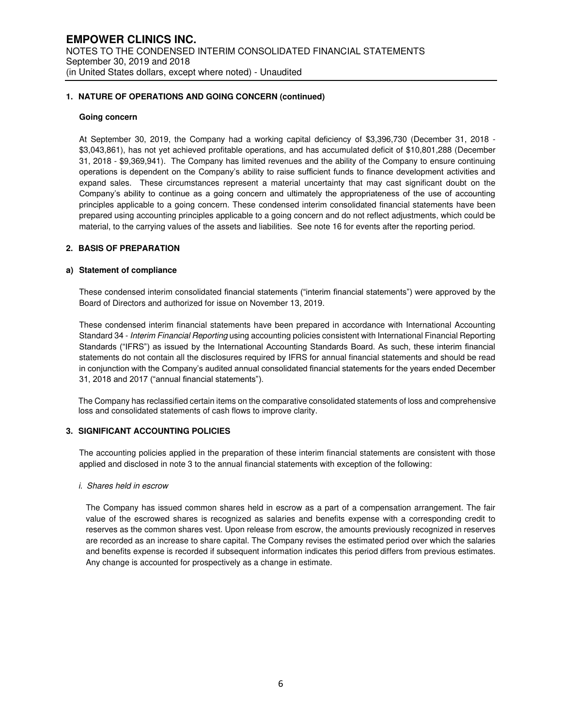#### **1. NATURE OF OPERATIONS AND GOING CONCERN (continued)**

#### **Going concern**

At September 30, 2019, the Company had a working capital deficiency of \$3,396,730 (December 31, 2018 - \$3,043,861), has not yet achieved profitable operations, and has accumulated deficit of \$10,801,288 (December 31, 2018 - \$9,369,941). The Company has limited revenues and the ability of the Company to ensure continuing operations is dependent on the Company's ability to raise sufficient funds to finance development activities and expand sales. These circumstances represent a material uncertainty that may cast significant doubt on the Company's ability to continue as a going concern and ultimately the appropriateness of the use of accounting principles applicable to a going concern. These condensed interim consolidated financial statements have been prepared using accounting principles applicable to a going concern and do not reflect adjustments, which could be material, to the carrying values of the assets and liabilities. See note 16 for events after the reporting period.

### **2. BASIS OF PREPARATION**

#### **a) Statement of compliance**

These condensed interim consolidated financial statements ("interim financial statements") were approved by the Board of Directors and authorized for issue on November 13, 2019.

These condensed interim financial statements have been prepared in accordance with International Accounting Standard 34 - Interim Financial Reporting using accounting policies consistent with International Financial Reporting Standards ("IFRS") as issued by the International Accounting Standards Board. As such, these interim financial statements do not contain all the disclosures required by IFRS for annual financial statements and should be read in conjunction with the Company's audited annual consolidated financial statements for the years ended December 31, 2018 and 2017 ("annual financial statements").

The Company has reclassified certain items on the comparative consolidated statements of loss and comprehensive loss and consolidated statements of cash flows to improve clarity.

#### **3. SIGNIFICANT ACCOUNTING POLICIES**

The accounting policies applied in the preparation of these interim financial statements are consistent with those applied and disclosed in note 3 to the annual financial statements with exception of the following:

#### i. Shares held in escrow

The Company has issued common shares held in escrow as a part of a compensation arrangement. The fair value of the escrowed shares is recognized as salaries and benefits expense with a corresponding credit to reserves as the common shares vest. Upon release from escrow, the amounts previously recognized in reserves are recorded as an increase to share capital. The Company revises the estimated period over which the salaries and benefits expense is recorded if subsequent information indicates this period differs from previous estimates. Any change is accounted for prospectively as a change in estimate.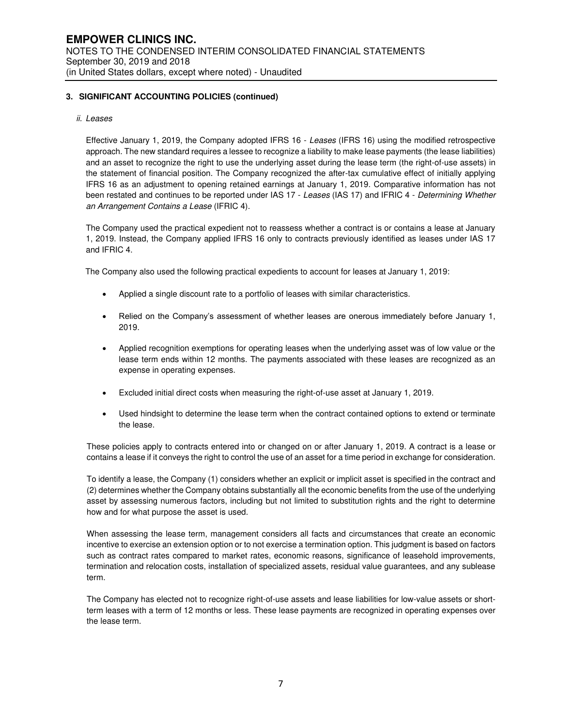#### ii. Leases

Effective January 1, 2019, the Company adopted IFRS 16 - Leases (IFRS 16) using the modified retrospective approach. The new standard requires a lessee to recognize a liability to make lease payments (the lease liabilities) and an asset to recognize the right to use the underlying asset during the lease term (the right-of-use assets) in the statement of financial position. The Company recognized the after-tax cumulative effect of initially applying IFRS 16 as an adjustment to opening retained earnings at January 1, 2019. Comparative information has not been restated and continues to be reported under IAS 17 - Leases (IAS 17) and IFRIC 4 - Determining Whether an Arrangement Contains a Lease (IFRIC 4).

The Company used the practical expedient not to reassess whether a contract is or contains a lease at January 1, 2019. Instead, the Company applied IFRS 16 only to contracts previously identified as leases under IAS 17 and IFRIC 4.

The Company also used the following practical expedients to account for leases at January 1, 2019:

- Applied a single discount rate to a portfolio of leases with similar characteristics.
- Relied on the Company's assessment of whether leases are onerous immediately before January 1, 2019.
- Applied recognition exemptions for operating leases when the underlying asset was of low value or the lease term ends within 12 months. The payments associated with these leases are recognized as an expense in operating expenses.
- Excluded initial direct costs when measuring the right-of-use asset at January 1, 2019.
- Used hindsight to determine the lease term when the contract contained options to extend or terminate the lease.

These policies apply to contracts entered into or changed on or after January 1, 2019. A contract is a lease or contains a lease if it conveys the right to control the use of an asset for a time period in exchange for consideration.

To identify a lease, the Company (1) considers whether an explicit or implicit asset is specified in the contract and (2) determines whether the Company obtains substantially all the economic benefits from the use of the underlying asset by assessing numerous factors, including but not limited to substitution rights and the right to determine how and for what purpose the asset is used.

When assessing the lease term, management considers all facts and circumstances that create an economic incentive to exercise an extension option or to not exercise a termination option. This judgment is based on factors such as contract rates compared to market rates, economic reasons, significance of leasehold improvements, termination and relocation costs, installation of specialized assets, residual value guarantees, and any sublease term.

The Company has elected not to recognize right-of-use assets and lease liabilities for low-value assets or shortterm leases with a term of 12 months or less. These lease payments are recognized in operating expenses over the lease term.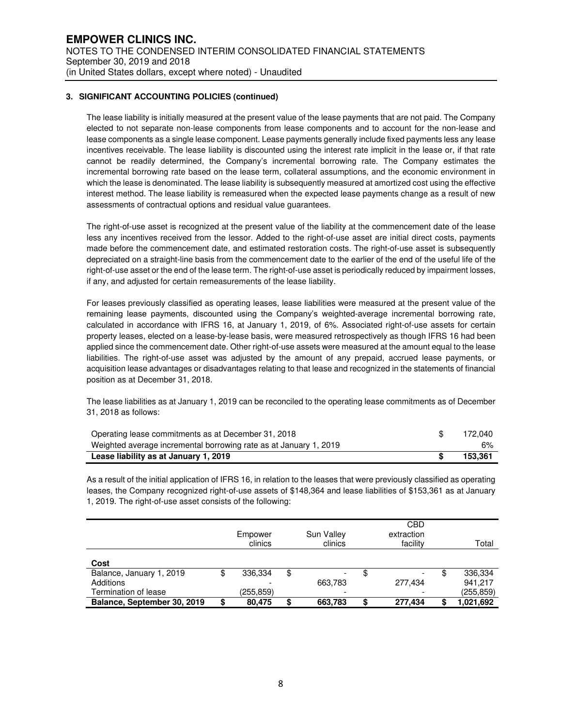The lease liability is initially measured at the present value of the lease payments that are not paid. The Company elected to not separate non-lease components from lease components and to account for the non-lease and lease components as a single lease component. Lease payments generally include fixed payments less any lease incentives receivable. The lease liability is discounted using the interest rate implicit in the lease or, if that rate cannot be readily determined, the Company's incremental borrowing rate. The Company estimates the incremental borrowing rate based on the lease term, collateral assumptions, and the economic environment in which the lease is denominated. The lease liability is subsequently measured at amortized cost using the effective interest method. The lease liability is remeasured when the expected lease payments change as a result of new assessments of contractual options and residual value guarantees.

The right-of-use asset is recognized at the present value of the liability at the commencement date of the lease less any incentives received from the lessor. Added to the right-of-use asset are initial direct costs, payments made before the commencement date, and estimated restoration costs. The right-of-use asset is subsequently depreciated on a straight-line basis from the commencement date to the earlier of the end of the useful life of the right-of-use asset or the end of the lease term. The right-of-use asset is periodically reduced by impairment losses, if any, and adjusted for certain remeasurements of the lease liability.

For leases previously classified as operating leases, lease liabilities were measured at the present value of the remaining lease payments, discounted using the Company's weighted-average incremental borrowing rate, calculated in accordance with IFRS 16, at January 1, 2019, of 6%. Associated right-of-use assets for certain property leases, elected on a lease-by-lease basis, were measured retrospectively as though IFRS 16 had been applied since the commencement date. Other right-of-use assets were measured at the amount equal to the lease liabilities. The right-of-use asset was adjusted by the amount of any prepaid, accrued lease payments, or acquisition lease advantages or disadvantages relating to that lease and recognized in the statements of financial position as at December 31, 2018.

The lease liabilities as at January 1, 2019 can be reconciled to the operating lease commitments as of December 31, 2018 as follows:

| Operating lease commitments as at December 31, 2018               | 172.040 |
|-------------------------------------------------------------------|---------|
| Weighted average incremental borrowing rate as at January 1, 2019 | 6%      |
| Lease liability as at January 1, 2019                             | 153.361 |

As a result of the initial application of IFRS 16, in relation to the leases that were previously classified as operating leases, the Company recognized right-of-use assets of \$148,364 and lease liabilities of \$153,361 as at January 1, 2019. The right-of-use asset consists of the following:

|                             |   | Empower<br>clinics |    | Sun Valley<br>clinics | CBD<br>extraction<br>facility | Total     |
|-----------------------------|---|--------------------|----|-----------------------|-------------------------------|-----------|
| Cost                        |   |                    |    |                       |                               |           |
| Balance, January 1, 2019    | Φ | 336.334            | \$ |                       | \$                            | 336,334   |
| Additions                   |   |                    |    | 663,783               | 277.434                       | 941.217   |
| Termination of lease        |   | (255,859)          |    |                       |                               | (255,859) |
| Balance, September 30, 2019 | S | 80.475             | S  | 663,783               | \$<br>277.434                 | 1,021,692 |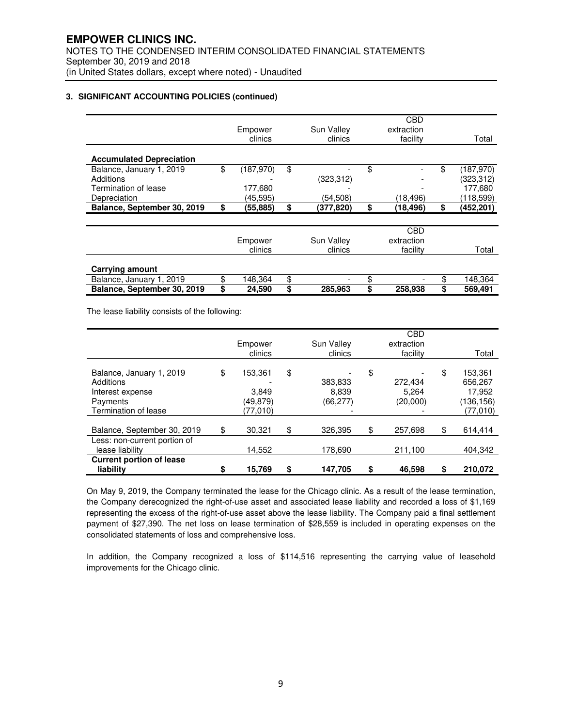|                                 |                  |                 | CBD             |                  |
|---------------------------------|------------------|-----------------|-----------------|------------------|
|                                 | Empower          | Sun Valley      | extraction      |                  |
|                                 | clinics          | clinics         | facility        | Total            |
|                                 |                  |                 |                 |                  |
| <b>Accumulated Depreciation</b> |                  |                 |                 |                  |
| Balance, January 1, 2019        | \$<br>(187, 970) | \$              | \$              | \$<br>(187, 970) |
| Additions                       |                  | (323, 312)      |                 | (323,312)        |
| Termination of lease            | 177.680          |                 |                 | 177,680          |
| Depreciation                    | (45.595)         | (54.508)        | (18,496)        | (118,599)        |
| Balance, September 30, 2019     | \$<br>(55,885)   | \$<br>(377,820) | \$<br>(18, 496) | \$<br>(452, 201) |
|                                 |                  |                 |                 |                  |
|                                 |                  |                 | CBD             |                  |
|                                 | Empower          | Sun Valley      | extraction      |                  |
|                                 | clinics          | clinics         | facility        | Total            |
| <b>Carrying amount</b>          |                  |                 |                 |                  |
|                                 | \$               |                 |                 |                  |
| Balance, January 1, 2019        | 148,364          | \$              | \$              | \$<br>148,364    |
| Balance, September 30, 2019     | \$<br>24,590     | \$<br>285,963   | \$<br>258,938   | \$<br>569,491    |

The lease liability consists of the following:

|                                                                                               | Empower<br>clinics                             | Sun Valley<br>clinics               | <b>CBD</b><br>extraction<br>facility | Total                                                        |
|-----------------------------------------------------------------------------------------------|------------------------------------------------|-------------------------------------|--------------------------------------|--------------------------------------------------------------|
| Balance, January 1, 2019<br>Additions<br>Interest expense<br>Payments<br>Termination of lease | \$<br>153.361<br>3,849<br>(49,879)<br>(77,010) | \$<br>383,833<br>8.839<br>(66, 277) | \$<br>272,434<br>5,264<br>(20,000)   | \$<br>153,361<br>656,267<br>17,952<br>(136,156)<br>(77, 010) |
| Balance, September 30, 2019                                                                   | \$<br>30.321                                   | \$<br>326.395                       | \$<br>257,698                        | \$<br>614,414                                                |
| Less: non-current portion of<br>lease liability                                               | 14,552                                         | 178,690                             | 211,100                              | 404,342                                                      |
| <b>Current portion of lease</b><br>liability                                                  | \$<br>15,769                                   | \$<br>147.705                       | 46.598                               | \$<br>210.072                                                |

On May 9, 2019, the Company terminated the lease for the Chicago clinic. As a result of the lease termination, the Company derecognized the right-of-use asset and associated lease liability and recorded a loss of \$1,169 representing the excess of the right-of-use asset above the lease liability. The Company paid a final settlement payment of \$27,390. The net loss on lease termination of \$28,559 is included in operating expenses on the consolidated statements of loss and comprehensive loss.

In addition, the Company recognized a loss of \$114,516 representing the carrying value of leasehold improvements for the Chicago clinic.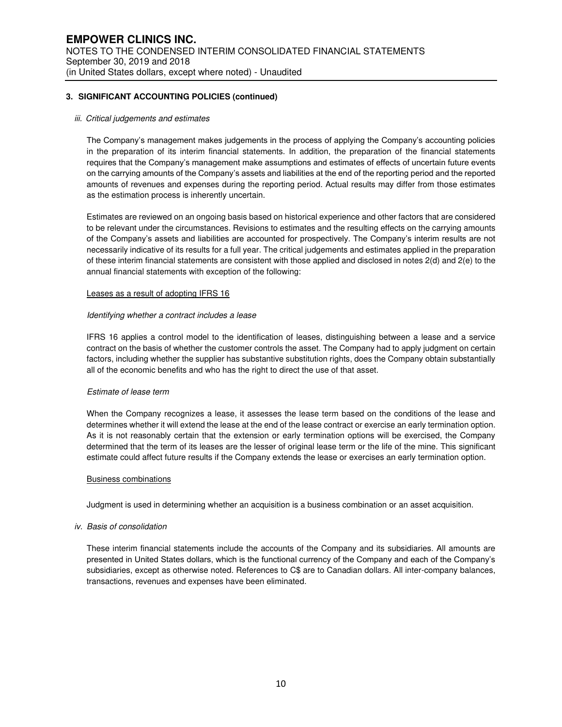#### iii. Critical judgements and estimates

The Company's management makes judgements in the process of applying the Company's accounting policies in the preparation of its interim financial statements. In addition, the preparation of the financial statements requires that the Company's management make assumptions and estimates of effects of uncertain future events on the carrying amounts of the Company's assets and liabilities at the end of the reporting period and the reported amounts of revenues and expenses during the reporting period. Actual results may differ from those estimates as the estimation process is inherently uncertain.

Estimates are reviewed on an ongoing basis based on historical experience and other factors that are considered to be relevant under the circumstances. Revisions to estimates and the resulting effects on the carrying amounts of the Company's assets and liabilities are accounted for prospectively. The Company's interim results are not necessarily indicative of its results for a full year. The critical judgements and estimates applied in the preparation of these interim financial statements are consistent with those applied and disclosed in notes 2(d) and 2(e) to the annual financial statements with exception of the following:

#### Leases as a result of adopting IFRS 16

#### Identifying whether a contract includes a lease

IFRS 16 applies a control model to the identification of leases, distinguishing between a lease and a service contract on the basis of whether the customer controls the asset. The Company had to apply judgment on certain factors, including whether the supplier has substantive substitution rights, does the Company obtain substantially all of the economic benefits and who has the right to direct the use of that asset.

#### Estimate of lease term

When the Company recognizes a lease, it assesses the lease term based on the conditions of the lease and determines whether it will extend the lease at the end of the lease contract or exercise an early termination option. As it is not reasonably certain that the extension or early termination options will be exercised, the Company determined that the term of its leases are the lesser of original lease term or the life of the mine. This significant estimate could affect future results if the Company extends the lease or exercises an early termination option.

#### Business combinations

Judgment is used in determining whether an acquisition is a business combination or an asset acquisition.

#### iv. Basis of consolidation

These interim financial statements include the accounts of the Company and its subsidiaries. All amounts are presented in United States dollars, which is the functional currency of the Company and each of the Company's subsidiaries, except as otherwise noted. References to C\$ are to Canadian dollars. All inter-company balances, transactions, revenues and expenses have been eliminated.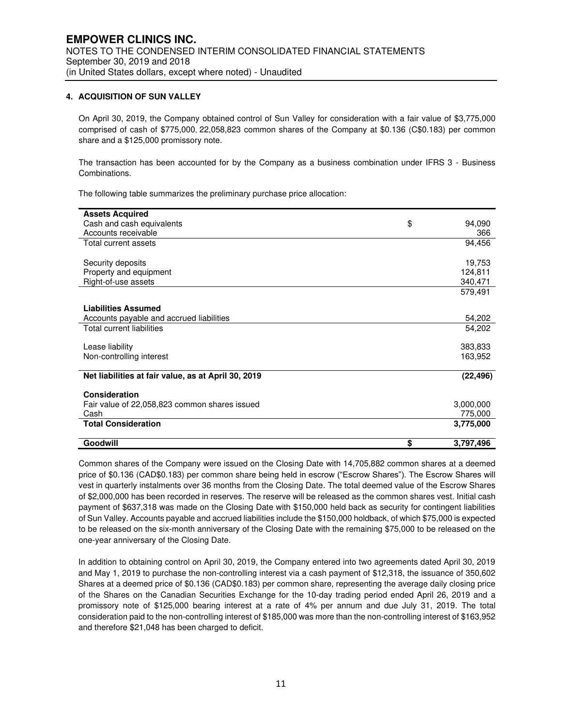### **4. ACQUISITION OF SUN VALLEY**

On April 30, 2019, the Company obtained control of Sun Valley for consideration with a fair value of \$3,775,000 comprised of cash of \$775,000, 22,058,823 common shares of the Company at \$0.136 (C\$0.183) per common share and a \$125,000 promissory note.

The transaction has been accounted for by the Company as a business combination under IFRS 3 - Business Combinations.

The following table summarizes the preliminary purchase price allocation:

| <b>Assets Acquired</b>                              |                 |
|-----------------------------------------------------|-----------------|
| Cash and cash equivalents                           | \$<br>94,090    |
| Accounts receivable                                 | 366             |
| Total current assets                                | 94,456          |
|                                                     |                 |
| Security deposits                                   | 19,753          |
| Property and equipment                              | 124,811         |
| Right-of-use assets                                 | 340,471         |
|                                                     | 579,491         |
|                                                     |                 |
| <b>Liabilities Assumed</b>                          |                 |
| Accounts payable and accrued liabilities            | 54,202          |
| <b>Total current liabilities</b>                    | 54,202          |
|                                                     |                 |
| Lease liability                                     | 383,833         |
| Non-controlling interest                            | 163,952         |
|                                                     |                 |
| Net liabilities at fair value, as at April 30, 2019 | (22, 496)       |
|                                                     |                 |
| Consideration                                       |                 |
| Fair value of 22,058,823 common shares issued       | 3,000,000       |
| Cash                                                | 775,000         |
| <b>Total Consideration</b>                          | 3,775,000       |
|                                                     |                 |
| Goodwill                                            | \$<br>3,797,496 |

Common shares of the Company were issued on the Closing Date with 14,705,882 common shares at a deemed price of \$0.136 (CAD\$0.183) per common share being held in escrow ("Escrow Shares"). The Escrow Shares will vest in quarterly instalments over 36 months from the Closing Date. The total deemed value of the Escrow Shares of \$2,000,000 has been recorded in reserves. The reserve will be released as the common shares vest. Initial cash payment of \$637,318 was made on the Closing Date with \$150,000 held back as security for contingent liabilities of Sun Valley. Accounts payable and accrued liabilities include the \$150,000 holdback, of which \$75,000 is expected to be released on the six-month anniversary of the Closing Date with the remaining \$75,000 to be released on the one-year anniversary of the Closing Date.

In addition to obtaining control on April 30, 2019, the Company entered into two agreements dated April 30, 2019 and May 1, 2019 to purchase the non-controlling interest via a cash payment of \$12,318, the issuance of 350,602 Shares at a deemed price of \$0.136 (CAD\$0.183) per common share, representing the average daily closing price of the Shares on the Canadian Securities Exchange for the 10-day trading period ended April 26, 2019 and a promissory note of \$125,000 bearing interest at a rate of 4% per annum and due July 31, 2019. The total consideration paid to the non-controlling interest of \$185,000 was more than the non-controlling interest of \$163,952 and therefore \$21,048 has been charged to deficit.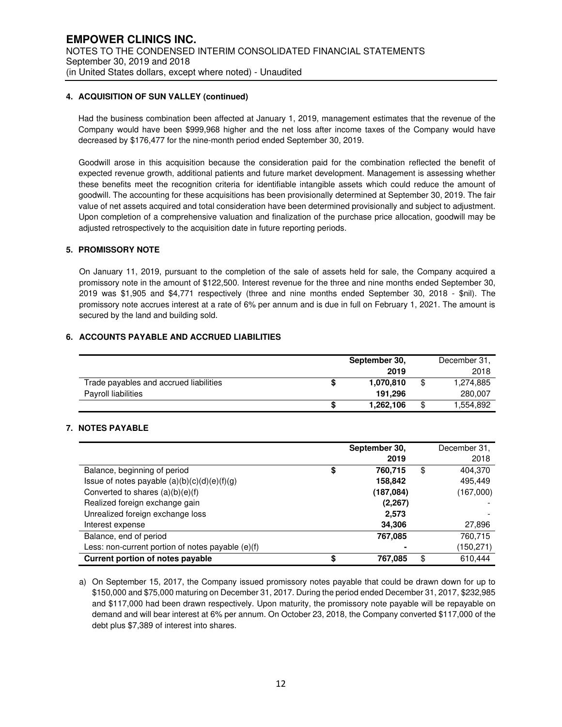#### **4. ACQUISITION OF SUN VALLEY (continued)**

Had the business combination been affected at January 1, 2019, management estimates that the revenue of the Company would have been \$999,968 higher and the net loss after income taxes of the Company would have decreased by \$176,477 for the nine-month period ended September 30, 2019.

Goodwill arose in this acquisition because the consideration paid for the combination reflected the benefit of expected revenue growth, additional patients and future market development. Management is assessing whether these benefits meet the recognition criteria for identifiable intangible assets which could reduce the amount of goodwill. The accounting for these acquisitions has been provisionally determined at September 30, 2019. The fair value of net assets acquired and total consideration have been determined provisionally and subject to adjustment. Upon completion of a comprehensive valuation and finalization of the purchase price allocation, goodwill may be adjusted retrospectively to the acquisition date in future reporting periods.

#### **5. PROMISSORY NOTE**

On January 11, 2019, pursuant to the completion of the sale of assets held for sale, the Company acquired a promissory note in the amount of \$122,500. Interest revenue for the three and nine months ended September 30, 2019 was \$1,905 and \$4,771 respectively (three and nine months ended September 30, 2018 - \$nil). The promissory note accrues interest at a rate of 6% per annum and is due in full on February 1, 2021. The amount is secured by the land and building sold.

### **6. ACCOUNTS PAYABLE AND ACCRUED LIABILITIES**

|                                        | September 30. | December 31, |    |           |
|----------------------------------------|---------------|--------------|----|-----------|
|                                        |               | 2019         |    | 2018      |
| Trade payables and accrued liabilities |               | 1.070.810    | \$ | 1,274,885 |
| Payroll liabilities                    |               | 191.296      |    | 280,007   |
|                                        |               | 1,262,106    | \$ | .554,892  |

#### **7. NOTES PAYABLE**

|                                                   | September 30, | December 31,  |
|---------------------------------------------------|---------------|---------------|
|                                                   | 2019          | 2018          |
| Balance, beginning of period                      | \$<br>760,715 | \$<br>404,370 |
| Issue of notes payable $(a)(b)(c)(d)(e)(f)(g)$    | 158,842       | 495,449       |
| Converted to shares $(a)(b)(e)(f)$                | (187,084)     | (167,000)     |
| Realized foreign exchange gain                    | (2.267)       |               |
| Unrealized foreign exchange loss                  | 2,573         |               |
| Interest expense                                  | 34,306        | 27,896        |
| Balance, end of period                            | 767,085       | 760,715       |
| Less: non-current portion of notes payable (e)(f) |               | (150, 271)    |
| <b>Current portion of notes payable</b>           | \$<br>767,085 | \$<br>610,444 |

a) On September 15, 2017, the Company issued promissory notes payable that could be drawn down for up to \$150,000 and \$75,000 maturing on December 31, 2017. During the period ended December 31, 2017, \$232,985 and \$117,000 had been drawn respectively. Upon maturity, the promissory note payable will be repayable on demand and will bear interest at 6% per annum. On October 23, 2018, the Company converted \$117,000 of the debt plus \$7,389 of interest into shares.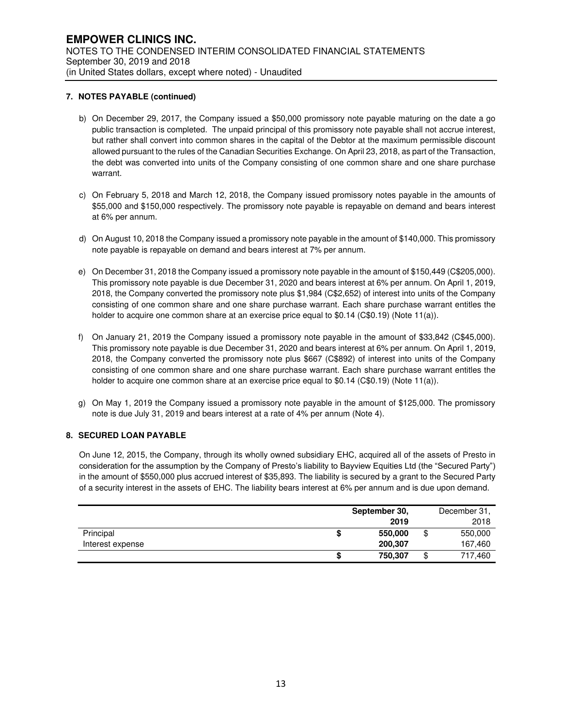#### **7. NOTES PAYABLE (continued)**

- b) On December 29, 2017, the Company issued a \$50,000 promissory note payable maturing on the date a go public transaction is completed. The unpaid principal of this promissory note payable shall not accrue interest, but rather shall convert into common shares in the capital of the Debtor at the maximum permissible discount allowed pursuant to the rules of the Canadian Securities Exchange. On April 23, 2018, as part of the Transaction, the debt was converted into units of the Company consisting of one common share and one share purchase warrant.
- c) On February 5, 2018 and March 12, 2018, the Company issued promissory notes payable in the amounts of \$55,000 and \$150,000 respectively. The promissory note payable is repayable on demand and bears interest at 6% per annum.
- d) On August 10, 2018 the Company issued a promissory note payable in the amount of \$140,000. This promissory note payable is repayable on demand and bears interest at 7% per annum.
- e) On December 31, 2018 the Company issued a promissory note payable in the amount of \$150,449 (C\$205,000). This promissory note payable is due December 31, 2020 and bears interest at 6% per annum. On April 1, 2019, 2018, the Company converted the promissory note plus \$1,984 (C\$2,652) of interest into units of the Company consisting of one common share and one share purchase warrant. Each share purchase warrant entitles the holder to acquire one common share at an exercise price equal to \$0.14 (C\$0.19) (Note 11(a)).
- f) On January 21, 2019 the Company issued a promissory note payable in the amount of \$33,842 (C\$45,000). This promissory note payable is due December 31, 2020 and bears interest at 6% per annum. On April 1, 2019, 2018, the Company converted the promissory note plus \$667 (C\$892) of interest into units of the Company consisting of one common share and one share purchase warrant. Each share purchase warrant entitles the holder to acquire one common share at an exercise price equal to \$0.14 (C\$0.19) (Note 11(a)).
- g) On May 1, 2019 the Company issued a promissory note payable in the amount of \$125,000. The promissory note is due July 31, 2019 and bears interest at a rate of 4% per annum (Note 4).

#### **8. SECURED LOAN PAYABLE**

On June 12, 2015, the Company, through its wholly owned subsidiary EHC, acquired all of the assets of Presto in consideration for the assumption by the Company of Presto's liability to Bayview Equities Ltd (the "Secured Party") in the amount of \$550,000 plus accrued interest of \$35,893. The liability is secured by a grant to the Secured Party of a security interest in the assets of EHC. The liability bears interest at 6% per annum and is due upon demand.

|                  |    | September 30, |    | December 31, |
|------------------|----|---------------|----|--------------|
|                  |    | 2019          |    | 2018         |
| Principal        | ۰D | 550,000       | \$ | 550,000      |
| Interest expense |    | 200,307       |    | 167,460      |
|                  | æ  | 750,307       | Φ  | 717,460      |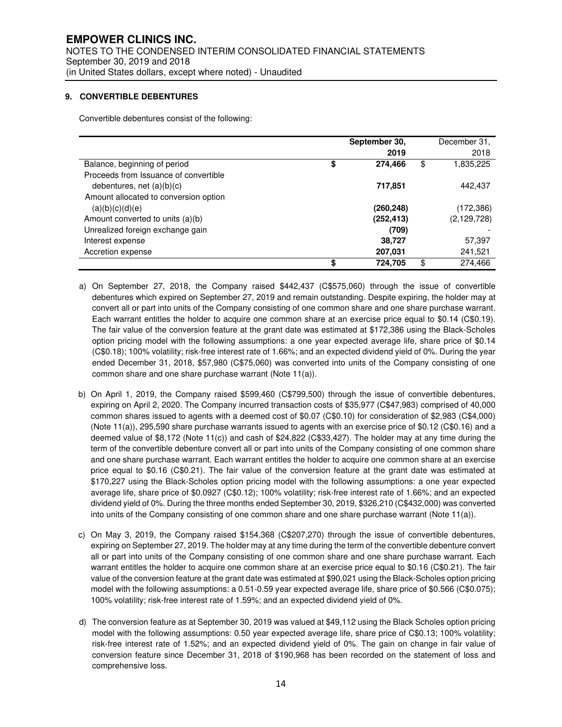### **9. CONVERTIBLE DEBENTURES**

Convertible debentures consist of the following:

|                                       |    | September 30, | December 31,    |
|---------------------------------------|----|---------------|-----------------|
|                                       |    | 2019          | 2018            |
| Balance, beginning of period          | \$ | 274,466       | \$<br>1,835,225 |
| Proceeds from Issuance of convertible |    |               |                 |
| debentures, net $(a)(b)(c)$           |    | 717,851       | 442.437         |
| Amount allocated to conversion option |    |               |                 |
| (a)(b)(c)(d)(e)                       |    | (260, 248)    | (172, 386)      |
| Amount converted to units (a)(b)      |    | (252, 413)    | (2, 129, 728)   |
| Unrealized foreign exchange gain      |    | (709)         |                 |
| Interest expense                      |    | 38,727        | 57,397          |
| Accretion expense                     |    | 207,031       | 241,521         |
|                                       | S  | 724,705       | \$<br>274,466   |

- a) On September 27, 2018, the Company raised \$442,437 (C\$575,060) through the issue of convertible debentures which expired on September 27, 2019 and remain outstanding. Despite expiring, the holder may at convert all or part into units of the Company consisting of one common share and one share purchase warrant. Each warrant entitles the holder to acquire one common share at an exercise price equal to \$0.14 (C\$0.19). The fair value of the conversion feature at the grant date was estimated at \$172,386 using the Black-Scholes option pricing model with the following assumptions: a one year expected average life, share price of \$0.14 (C\$0.18); 100% volatility; risk-free interest rate of 1.66%; and an expected dividend yield of 0%. During the year ended December 31, 2018, \$57,980 (C\$75,060) was converted into units of the Company consisting of one common share and one share purchase warrant (Note 11(a)).
- b) On April 1, 2019, the Company raised \$599,460 (C\$799,500) through the issue of convertible debentures, expiring on April 2, 2020. The Company incurred transaction costs of \$35,977 (C\$47,983) comprised of 40,000 common shares issued to agents with a deemed cost of \$0.07 (C\$0.10) for consideration of \$2,983 (C\$4,000) (Note  $11(a)$ ), 295,590 share purchase warrants issued to agents with an exercise price of \$0.12 (C\$0.16) and a deemed value of \$8,172 (Note 11(c)) and cash of \$24,822 (C\$33,427). The holder may at any time during the term of the convertible debenture convert all or part into units of the Company consisting of one common share and one share purchase warrant. Each warrant entitles the holder to acquire one common share at an exercise price equal to \$0.16 (C\$0.21). The fair value of the conversion feature at the grant date was estimated at \$170,227 using the Black-Scholes option pricing model with the following assumptions: a one year expected average life, share price of \$0.0927 (C\$0.12); 100% volatility; risk-free interest rate of 1.66%; and an expected dividend yield of 0%. During the three months ended September 30, 2019, \$326,210 (C\$432,000) was converted into units of the Company consisting of one common share and one share purchase warrant (Note 11(a)).
- c) On May 3, 2019, the Company raised \$154,368 (C\$207,270) through the issue of convertible debentures, expiring on September 27, 2019. The holder may at any time during the term of the convertible debenture convert all or part into units of the Company consisting of one common share and one share purchase warrant. Each warrant entitles the holder to acquire one common share at an exercise price equal to \$0.16 (C\$0.21). The fair value of the conversion feature at the grant date was estimated at \$90,021 using the Black-Scholes option pricing model with the following assumptions: a 0.51-0.59 year expected average life, share price of \$0.566 (C\$0.075); 100% volatility; risk-free interest rate of 1.59%; and an expected dividend yield of 0%.
- d) The conversion feature as at September 30, 2019 was valued at \$49,112 using the Black Scholes option pricing model with the following assumptions: 0.50 year expected average life, share price of C\$0.13; 100% volatility; risk-free interest rate of 1.52%; and an expected dividend yield of 0%. The gain on change in fair value of conversion feature since December 31, 2018 of \$190,968 has been recorded on the statement of loss and comprehensive loss.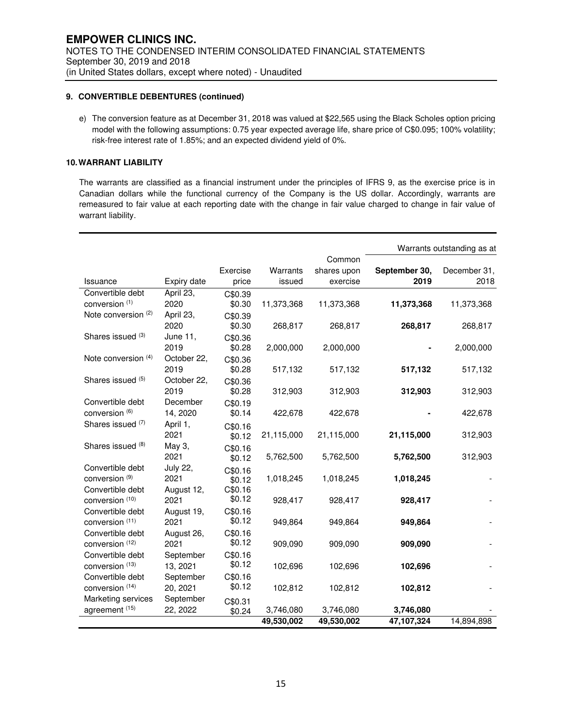# **9. CONVERTIBLE DEBENTURES (continued)**

e) The conversion feature as at December 31, 2018 was valued at \$22,565 using the Black Scholes option pricing model with the following assumptions: 0.75 year expected average life, share price of C\$0.095; 100% volatility; risk-free interest rate of 1.85%; and an expected dividend yield of 0%.

### **10. WARRANT LIABILITY**

The warrants are classified as a financial instrument under the principles of IFRS 9, as the exercise price is in Canadian dollars while the functional currency of the Company is the US dollar. Accordingly, warrants are remeasured to fair value at each reporting date with the change in fair value charged to change in fair value of warrant liability.

|                           |                     |                   |            |                       |               | Warrants outstanding as at |
|---------------------------|---------------------|-------------------|------------|-----------------------|---------------|----------------------------|
|                           |                     | Exercise          | Warrants   | Common<br>shares upon | September 30, | December 31,               |
| Issuance                  | Expiry date         | price             | issued     | exercise              | 2019          | 2018                       |
| Convertible debt          | April 23,           | C\$0.39           |            |                       |               |                            |
| conversion (1)            | 2020                | \$0.30            | 11,373,368 | 11,373,368            | 11,373,368    | 11,373,368                 |
| Note conversion (2)       | April 23,           | C\$0.39           |            |                       |               |                            |
|                           | 2020                | \$0.30            | 268,817    | 268,817               | 268,817       | 268,817                    |
| Shares issued (3)         | June 11,            | C\$0.36           |            |                       |               |                            |
|                           | 2019                | \$0.28            | 2,000,000  | 2,000,000             |               | 2,000,000                  |
| Note conversion (4)       | October 22,         | C\$0.36           |            |                       |               |                            |
|                           | 2019                | \$0.28            | 517,132    | 517,132               | 517,132       | 517,132                    |
| Shares issued (5)         | October 22,<br>2019 | C\$0.36           |            |                       |               |                            |
| Convertible debt          | December            | \$0.28            | 312,903    | 312,903               | 312,903       | 312,903                    |
| conversion (6)            | 14, 2020            | C\$0.19<br>\$0.14 | 422,678    | 422,678               |               | 422,678                    |
| Shares issued (7)         | April 1,            |                   |            |                       |               |                            |
|                           | 2021                | C\$0.16<br>\$0.12 | 21,115,000 | 21,115,000            | 21,115,000    | 312,903                    |
| Shares issued (8)         | May 3,              | C\$0.16           |            |                       |               |                            |
|                           | 2021                | \$0.12            | 5,762,500  | 5,762,500             | 5,762,500     | 312,903                    |
| Convertible debt          | <b>July 22,</b>     | C\$0.16           |            |                       |               |                            |
| conversion <sup>(9)</sup> | 2021                | \$0.12            | 1,018,245  | 1,018,245             | 1,018,245     |                            |
| Convertible debt          | August 12,          | C\$0.16           |            |                       |               |                            |
| conversion (10)           | 2021                | \$0.12            | 928,417    | 928,417               | 928,417       |                            |
| Convertible debt          | August 19,          | C\$0.16           |            |                       |               |                            |
| conversion (11)           | 2021                | \$0.12            | 949,864    | 949,864               | 949,864       |                            |
| Convertible debt          | August 26,          | C\$0.16           |            |                       |               |                            |
| conversion (12)           | 2021                | \$0.12            | 909,090    | 909,090               | 909,090       |                            |
| Convertible debt          | September           | C\$0.16           |            |                       |               |                            |
| conversion (13)           | 13, 2021            | \$0.12            | 102,696    | 102,696               | 102,696       |                            |
| Convertible debt          | September           | C\$0.16           |            |                       |               |                            |
| conversion (14)           | 20, 2021            | \$0.12            | 102,812    | 102,812               | 102,812       |                            |
| Marketing services        | September           | C\$0.31           |            |                       |               |                            |
| agreement <sup>(15)</sup> | 22, 2022            | \$0.24            | 3,746,080  | 3,746,080             | 3,746,080     |                            |
|                           |                     |                   | 49,530,002 | 49,530,002            | 47,107,324    | 14,894,898                 |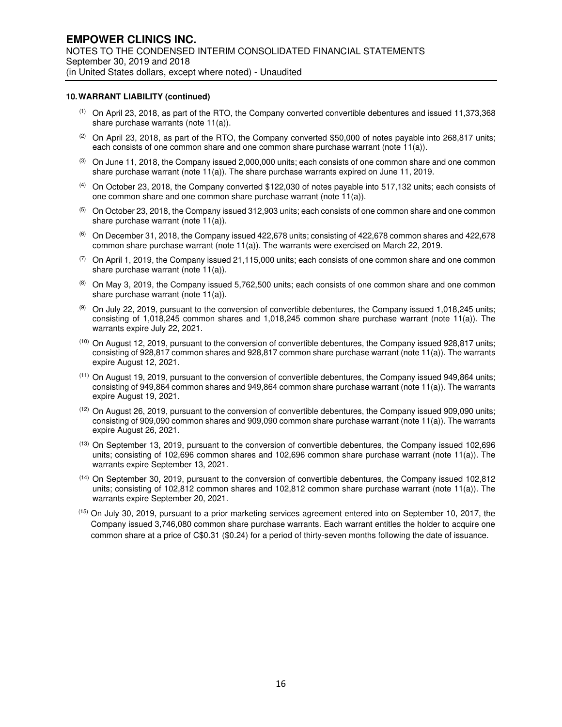#### **10. WARRANT LIABILITY (continued)**

- (1) On April 23, 2018, as part of the RTO, the Company converted convertible debentures and issued 11,373,368 share purchase warrants (note 11(a)).
- (2) On April 23, 2018, as part of the RTO, the Company converted \$50,000 of notes payable into 268,817 units; each consists of one common share and one common share purchase warrant (note 11(a)).
- $(3)$  On June 11, 2018, the Company issued 2,000,000 units; each consists of one common share and one common share purchase warrant (note 11(a)). The share purchase warrants expired on June 11, 2019.
- (4) On October 23, 2018, the Company converted \$122,030 of notes payable into 517,132 units; each consists of one common share and one common share purchase warrant (note 11(a)).
- $(5)$  On October 23, 2018, the Company issued 312,903 units; each consists of one common share and one common share purchase warrant (note 11(a)).
- $(6)$  On December 31, 2018, the Company issued 422,678 units; consisting of 422,678 common shares and 422,678 common share purchase warrant (note 11(a)). The warrants were exercised on March 22, 2019.
- $(7)$  On April 1, 2019, the Company issued 21,115,000 units; each consists of one common share and one common share purchase warrant (note 11(a)).
- $(8)$  On May 3, 2019, the Company issued 5,762,500 units; each consists of one common share and one common share purchase warrant (note 11(a)).
- $(9)$  On July 22, 2019, pursuant to the conversion of convertible debentures, the Company issued 1,018,245 units; consisting of 1,018,245 common shares and 1,018,245 common share purchase warrant (note 11(a)). The warrants expire July 22, 2021.
- (10) On August 12, 2019, pursuant to the conversion of convertible debentures, the Company issued 928,817 units; consisting of 928,817 common shares and 928,817 common share purchase warrant (note 11(a)). The warrants expire August 12, 2021.
- (11) On August 19, 2019, pursuant to the conversion of convertible debentures, the Company issued 949,864 units; consisting of 949,864 common shares and 949,864 common share purchase warrant (note 11(a)). The warrants expire August 19, 2021.
- (12) On August 26, 2019, pursuant to the conversion of convertible debentures, the Company issued 909,090 units; consisting of 909,090 common shares and 909,090 common share purchase warrant (note 11(a)). The warrants expire August 26, 2021.
- (13) On September 13, 2019, pursuant to the conversion of convertible debentures, the Company issued 102,696 units; consisting of 102,696 common shares and 102,696 common share purchase warrant (note 11(a)). The warrants expire September 13, 2021.
- (14) On September 30, 2019, pursuant to the conversion of convertible debentures, the Company issued 102,812 units; consisting of 102,812 common shares and 102,812 common share purchase warrant (note 11(a)). The warrants expire September 20, 2021.
- (15) On July 30, 2019, pursuant to a prior marketing services agreement entered into on September 10, 2017, the Company issued 3,746,080 common share purchase warrants. Each warrant entitles the holder to acquire one common share at a price of C\$0.31 (\$0.24) for a period of thirty-seven months following the date of issuance.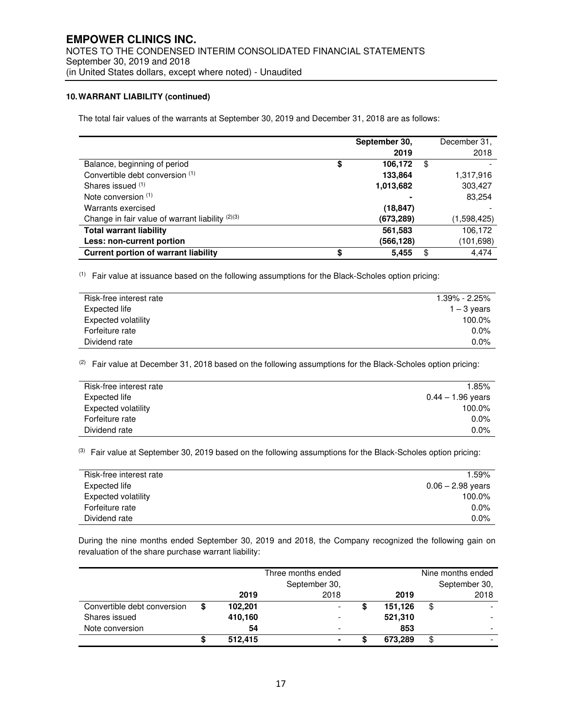# **10. WARRANT LIABILITY (continued)**

The total fair values of the warrants at September 30, 2019 and December 31, 2018 are as follows:

|                                                  | September 30, | December 31, |
|--------------------------------------------------|---------------|--------------|
|                                                  | 2019          | 2018         |
| Balance, beginning of period                     | \$<br>106,172 | \$           |
| Convertible debt conversion (1)                  | 133,864       | 1,317,916    |
| Shares issued (1)                                | 1,013,682     | 303,427      |
| Note conversion $(1)$                            |               | 83,254       |
| Warrants exercised                               | (18, 847)     |              |
| Change in fair value of warrant liability (2)(3) | (673,289)     | (1,598,425)  |
| <b>Total warrant liability</b>                   | 561,583       | 106,172      |
| Less: non-current portion                        | (566,128)     | (101,698)    |
| Current portion of warrant liability             | \$<br>5,455   | \$<br>4.474  |

(1) Fair value at issuance based on the following assumptions for the Black-Scholes option pricing:

| Risk-free interest rate | $1.39\% - 2.25\%$ |
|-------------------------|-------------------|
| Expected life           | $1 - 3$ years     |
| Expected volatility     | 100.0%            |
| Forfeiture rate         | 0.0%              |
| Dividend rate           | 0.0%              |

(2) Fair value at December 31, 2018 based on the following assumptions for the Black-Scholes option pricing:

| Risk-free interest rate    | 1.85%               |
|----------------------------|---------------------|
| Expected life              | $0.44 - 1.96$ years |
| <b>Expected volatility</b> | 100.0%              |
| Forfeiture rate            | 0.0%                |
| Dividend rate              | 0.0%                |

(3) Fair value at September 30, 2019 based on the following assumptions for the Black-Scholes option pricing:

| 1.59%               |
|---------------------|
|                     |
| $0.06 - 2.98$ years |
|                     |
| 100.0%              |
|                     |
| $0.0\%$             |
|                     |
| $0.0\%$             |
|                     |
|                     |

During the nine months ended September 30, 2019 and 2018, the Company recognized the following gain on revaluation of the share purchase warrant liability:

|                             | Three months ended |                          |  |         |    | Nine months ended        |
|-----------------------------|--------------------|--------------------------|--|---------|----|--------------------------|
|                             | September 30,      |                          |  |         |    | September 30,            |
|                             | 2019               | 2018                     |  | 2019    |    | 2018                     |
| Convertible debt conversion | \$<br>102,201      | -                        |  | 151,126 | \$ |                          |
| Shares issued               | 410,160            | $\overline{\phantom{0}}$ |  | 521,310 |    |                          |
| Note conversion             | 54                 | $\overline{\phantom{0}}$ |  | 853     |    | $\overline{\phantom{0}}$ |
|                             | \$<br>512,415      | $\blacksquare$           |  | 673.289 | \$ |                          |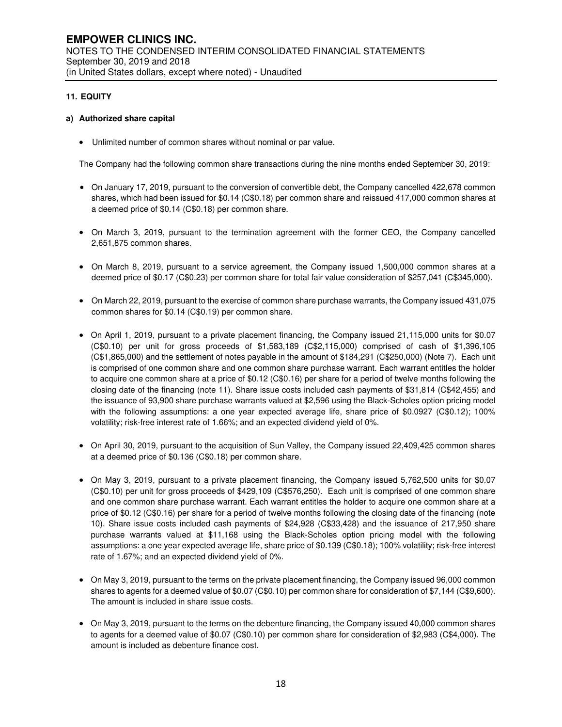# **11. EQUITY**

#### **a) Authorized share capital**

• Unlimited number of common shares without nominal or par value.

The Company had the following common share transactions during the nine months ended September 30, 2019:

- On January 17, 2019, pursuant to the conversion of convertible debt, the Company cancelled 422,678 common shares, which had been issued for \$0.14 (C\$0.18) per common share and reissued 417,000 common shares at a deemed price of \$0.14 (C\$0.18) per common share.
- On March 3, 2019, pursuant to the termination agreement with the former CEO, the Company cancelled 2,651,875 common shares.
- On March 8, 2019, pursuant to a service agreement, the Company issued 1,500,000 common shares at a deemed price of \$0.17 (C\$0.23) per common share for total fair value consideration of \$257,041 (C\$345,000).
- On March 22, 2019, pursuant to the exercise of common share purchase warrants, the Company issued 431,075 common shares for \$0.14 (C\$0.19) per common share.
- On April 1, 2019, pursuant to a private placement financing, the Company issued 21,115,000 units for \$0.07 (C\$0.10) per unit for gross proceeds of \$1,583,189 (C\$2,115,000) comprised of cash of \$1,396,105 (C\$1,865,000) and the settlement of notes payable in the amount of \$184,291 (C\$250,000) (Note 7). Each unit is comprised of one common share and one common share purchase warrant. Each warrant entitles the holder to acquire one common share at a price of \$0.12 (C\$0.16) per share for a period of twelve months following the closing date of the financing (note 11). Share issue costs included cash payments of \$31,814 (C\$42,455) and the issuance of 93,900 share purchase warrants valued at \$2,596 using the Black-Scholes option pricing model with the following assumptions: a one year expected average life, share price of \$0.0927 (C\$0.12); 100% volatility; risk-free interest rate of 1.66%; and an expected dividend yield of 0%.
- On April 30, 2019, pursuant to the acquisition of Sun Valley, the Company issued 22,409,425 common shares at a deemed price of \$0.136 (C\$0.18) per common share.
- On May 3, 2019, pursuant to a private placement financing, the Company issued 5,762,500 units for \$0.07 (C\$0.10) per unit for gross proceeds of \$429,109 (C\$576,250). Each unit is comprised of one common share and one common share purchase warrant. Each warrant entitles the holder to acquire one common share at a price of \$0.12 (C\$0.16) per share for a period of twelve months following the closing date of the financing (note 10). Share issue costs included cash payments of \$24,928 (C\$33,428) and the issuance of 217,950 share purchase warrants valued at \$11,168 using the Black-Scholes option pricing model with the following assumptions: a one year expected average life, share price of \$0.139 (C\$0.18); 100% volatility; risk-free interest rate of 1.67%; and an expected dividend yield of 0%.
- On May 3, 2019, pursuant to the terms on the private placement financing, the Company issued 96,000 common shares to agents for a deemed value of \$0.07 (C\$0.10) per common share for consideration of \$7,144 (C\$9,600). The amount is included in share issue costs.
- On May 3, 2019, pursuant to the terms on the debenture financing, the Company issued 40,000 common shares to agents for a deemed value of \$0.07 (C\$0.10) per common share for consideration of \$2,983 (C\$4,000). The amount is included as debenture finance cost.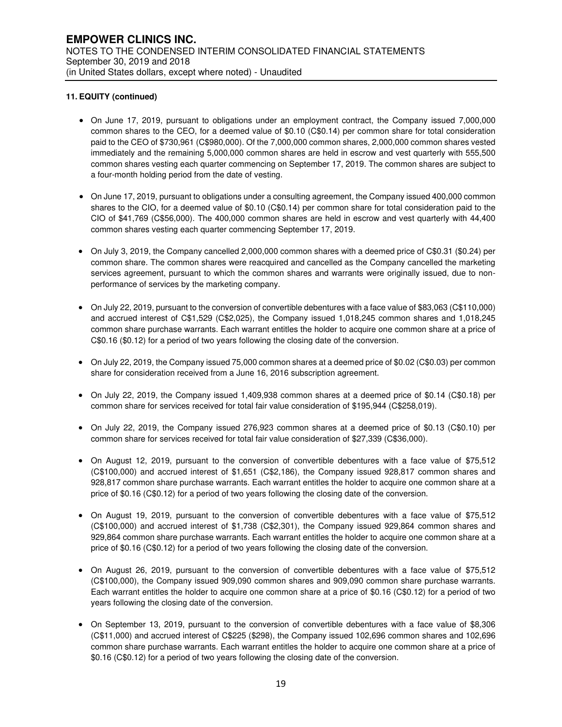- On June 17, 2019, pursuant to obligations under an employment contract, the Company issued 7,000,000 common shares to the CEO, for a deemed value of \$0.10 (C\$0.14) per common share for total consideration paid to the CEO of \$730,961 (C\$980,000). Of the 7,000,000 common shares, 2,000,000 common shares vested immediately and the remaining 5,000,000 common shares are held in escrow and vest quarterly with 555,500 common shares vesting each quarter commencing on September 17, 2019. The common shares are subject to a four-month holding period from the date of vesting.
- On June 17, 2019, pursuant to obligations under a consulting agreement, the Company issued 400,000 common shares to the CIO, for a deemed value of \$0.10 (C\$0.14) per common share for total consideration paid to the CIO of \$41,769 (C\$56,000). The 400,000 common shares are held in escrow and vest quarterly with 44,400 common shares vesting each quarter commencing September 17, 2019.
- On July 3, 2019, the Company cancelled 2,000,000 common shares with a deemed price of C\$0.31 (\$0.24) per common share. The common shares were reacquired and cancelled as the Company cancelled the marketing services agreement, pursuant to which the common shares and warrants were originally issued, due to nonperformance of services by the marketing company.
- On July 22, 2019, pursuant to the conversion of convertible debentures with a face value of \$83,063 (C\$110,000) and accrued interest of C\$1,529 (C\$2,025), the Company issued 1,018,245 common shares and 1,018,245 common share purchase warrants. Each warrant entitles the holder to acquire one common share at a price of C\$0.16 (\$0.12) for a period of two years following the closing date of the conversion.
- On July 22, 2019, the Company issued 75,000 common shares at a deemed price of \$0.02 (C\$0.03) per common share for consideration received from a June 16, 2016 subscription agreement.
- On July 22, 2019, the Company issued 1,409,938 common shares at a deemed price of \$0.14 (C\$0.18) per common share for services received for total fair value consideration of \$195,944 (C\$258,019).
- On July 22, 2019, the Company issued 276,923 common shares at a deemed price of \$0.13 (C\$0.10) per common share for services received for total fair value consideration of \$27,339 (C\$36,000).
- On August 12, 2019, pursuant to the conversion of convertible debentures with a face value of \$75,512 (C\$100,000) and accrued interest of \$1,651 (C\$2,186), the Company issued 928,817 common shares and 928,817 common share purchase warrants. Each warrant entitles the holder to acquire one common share at a price of \$0.16 (C\$0.12) for a period of two years following the closing date of the conversion.
- On August 19, 2019, pursuant to the conversion of convertible debentures with a face value of \$75,512 (C\$100,000) and accrued interest of \$1,738 (C\$2,301), the Company issued 929,864 common shares and 929,864 common share purchase warrants. Each warrant entitles the holder to acquire one common share at a price of \$0.16 (C\$0.12) for a period of two years following the closing date of the conversion.
- On August 26, 2019, pursuant to the conversion of convertible debentures with a face value of \$75,512 (C\$100,000), the Company issued 909,090 common shares and 909,090 common share purchase warrants. Each warrant entitles the holder to acquire one common share at a price of \$0.16 (C\$0.12) for a period of two years following the closing date of the conversion.
- On September 13, 2019, pursuant to the conversion of convertible debentures with a face value of \$8,306 (C\$11,000) and accrued interest of C\$225 (\$298), the Company issued 102,696 common shares and 102,696 common share purchase warrants. Each warrant entitles the holder to acquire one common share at a price of \$0.16 (C\$0.12) for a period of two years following the closing date of the conversion.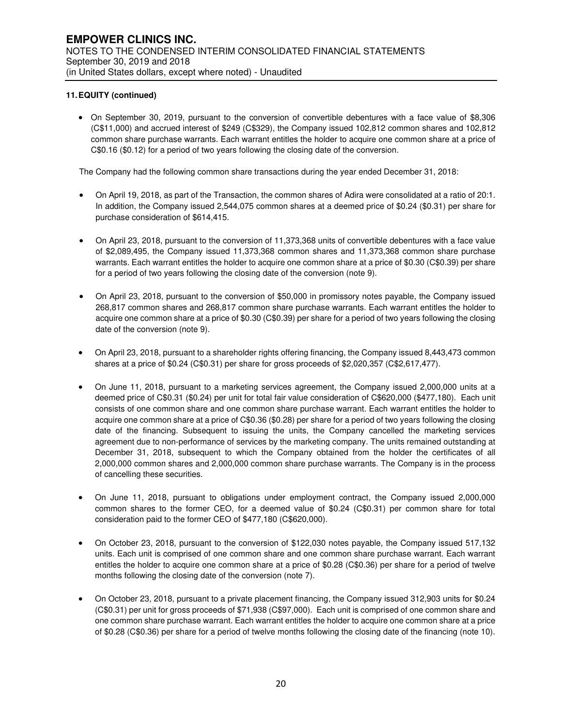• On September 30, 2019, pursuant to the conversion of convertible debentures with a face value of \$8,306 (C\$11,000) and accrued interest of \$249 (C\$329), the Company issued 102,812 common shares and 102,812 common share purchase warrants. Each warrant entitles the holder to acquire one common share at a price of C\$0.16 (\$0.12) for a period of two years following the closing date of the conversion.

The Company had the following common share transactions during the year ended December 31, 2018:

- On April 19, 2018, as part of the Transaction, the common shares of Adira were consolidated at a ratio of 20:1. In addition, the Company issued 2,544,075 common shares at a deemed price of \$0.24 (\$0.31) per share for purchase consideration of \$614,415.
- On April 23, 2018, pursuant to the conversion of 11,373,368 units of convertible debentures with a face value of \$2,089,495, the Company issued 11,373,368 common shares and 11,373,368 common share purchase warrants. Each warrant entitles the holder to acquire one common share at a price of \$0.30 (C\$0.39) per share for a period of two years following the closing date of the conversion (note 9).
- On April 23, 2018, pursuant to the conversion of \$50,000 in promissory notes payable, the Company issued 268,817 common shares and 268,817 common share purchase warrants. Each warrant entitles the holder to acquire one common share at a price of \$0.30 (C\$0.39) per share for a period of two years following the closing date of the conversion (note 9).
- On April 23, 2018, pursuant to a shareholder rights offering financing, the Company issued 8,443,473 common shares at a price of \$0.24 (C\$0.31) per share for gross proceeds of \$2,020,357 (C\$2,617,477).
- On June 11, 2018, pursuant to a marketing services agreement, the Company issued 2,000,000 units at a deemed price of C\$0.31 (\$0.24) per unit for total fair value consideration of C\$620,000 (\$477,180). Each unit consists of one common share and one common share purchase warrant. Each warrant entitles the holder to acquire one common share at a price of C\$0.36 (\$0.28) per share for a period of two years following the closing date of the financing. Subsequent to issuing the units, the Company cancelled the marketing services agreement due to non-performance of services by the marketing company. The units remained outstanding at December 31, 2018, subsequent to which the Company obtained from the holder the certificates of all 2,000,000 common shares and 2,000,000 common share purchase warrants. The Company is in the process of cancelling these securities.
- On June 11, 2018, pursuant to obligations under employment contract, the Company issued 2,000,000 common shares to the former CEO, for a deemed value of \$0.24 (C\$0.31) per common share for total consideration paid to the former CEO of \$477,180 (C\$620,000).
- On October 23, 2018, pursuant to the conversion of \$122,030 notes payable, the Company issued 517,132 units. Each unit is comprised of one common share and one common share purchase warrant. Each warrant entitles the holder to acquire one common share at a price of \$0.28 (C\$0.36) per share for a period of twelve months following the closing date of the conversion (note 7).
- On October 23, 2018, pursuant to a private placement financing, the Company issued 312,903 units for \$0.24 (C\$0.31) per unit for gross proceeds of \$71,938 (C\$97,000). Each unit is comprised of one common share and one common share purchase warrant. Each warrant entitles the holder to acquire one common share at a price of \$0.28 (C\$0.36) per share for a period of twelve months following the closing date of the financing (note 10).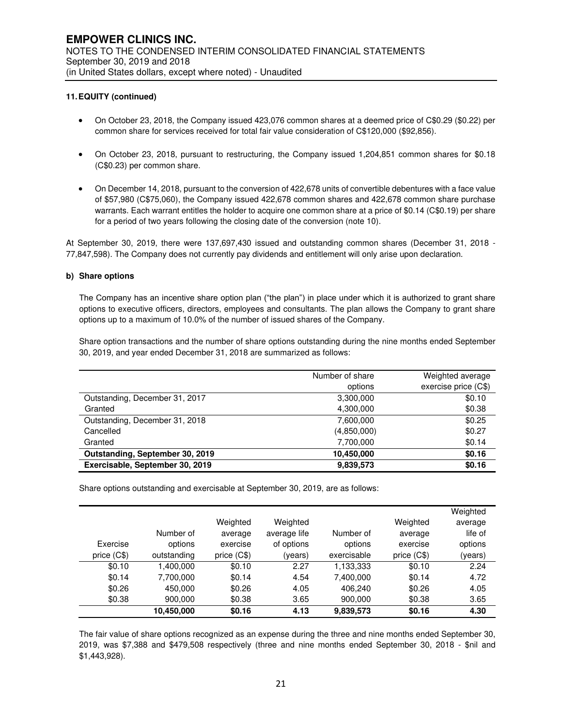- On October 23, 2018, the Company issued 423,076 common shares at a deemed price of C\$0.29 (\$0.22) per common share for services received for total fair value consideration of C\$120,000 (\$92,856).
- On October 23, 2018, pursuant to restructuring, the Company issued 1,204,851 common shares for \$0.18 (C\$0.23) per common share.
- On December 14, 2018, pursuant to the conversion of 422,678 units of convertible debentures with a face value of \$57,980 (C\$75,060), the Company issued 422,678 common shares and 422,678 common share purchase warrants. Each warrant entitles the holder to acquire one common share at a price of \$0.14 (C\$0.19) per share for a period of two years following the closing date of the conversion (note 10).

At September 30, 2019, there were 137,697,430 issued and outstanding common shares (December 31, 2018 - 77,847,598). The Company does not currently pay dividends and entitlement will only arise upon declaration.

#### **b) Share options**

The Company has an incentive share option plan ("the plan") in place under which it is authorized to grant share options to executive officers, directors, employees and consultants. The plan allows the Company to grant share options up to a maximum of 10.0% of the number of issued shares of the Company.

Share option transactions and the number of share options outstanding during the nine months ended September 30, 2019, and year ended December 31, 2018 are summarized as follows:

|                                 | Number of share | Weighted average     |
|---------------------------------|-----------------|----------------------|
|                                 | options         | exercise price (C\$) |
| Outstanding, December 31, 2017  | 3,300,000       | \$0.10               |
| Granted                         | 4,300,000       | \$0.38               |
| Outstanding, December 31, 2018  | 7,600,000       | \$0.25               |
| Cancelled                       | (4,850,000)     | \$0.27               |
| Granted                         | 7,700,000       | \$0.14               |
| Outstanding, September 30, 2019 | 10,450,000      | \$0.16               |
| Exercisable, September 30, 2019 | 9,839,573       | \$0.16               |

Share options outstanding and exercisable at September 30, 2019, are as follows:

|              |             |              |              |             |              | Weighted |
|--------------|-------------|--------------|--------------|-------------|--------------|----------|
|              |             | Weighted     | Weighted     |             | Weighted     | average  |
|              | Number of   | average      | average life | Number of   | average      | life of  |
| Exercise     | options     | exercise     | of options   | options     | exercise     | options  |
| price $(C$)$ | outstanding | price $(C$)$ | (years)      | exercisable | price $(C$)$ | (years)  |
| \$0.10       | 1,400,000   | \$0.10       | 2.27         | 1,133,333   | \$0.10       | 2.24     |
| \$0.14       | 7,700,000   | \$0.14       | 4.54         | 7,400,000   | \$0.14       | 4.72     |
| \$0.26       | 450,000     | \$0.26       | 4.05         | 406.240     | \$0.26       | 4.05     |
| \$0.38       | 900,000     | \$0.38       | 3.65         | 900,000     | \$0.38       | 3.65     |
|              | 10,450,000  | \$0.16       | 4.13         | 9,839,573   | \$0.16       | 4.30     |

The fair value of share options recognized as an expense during the three and nine months ended September 30, 2019, was \$7,388 and \$479,508 respectively (three and nine months ended September 30, 2018 - \$nil and \$1,443,928).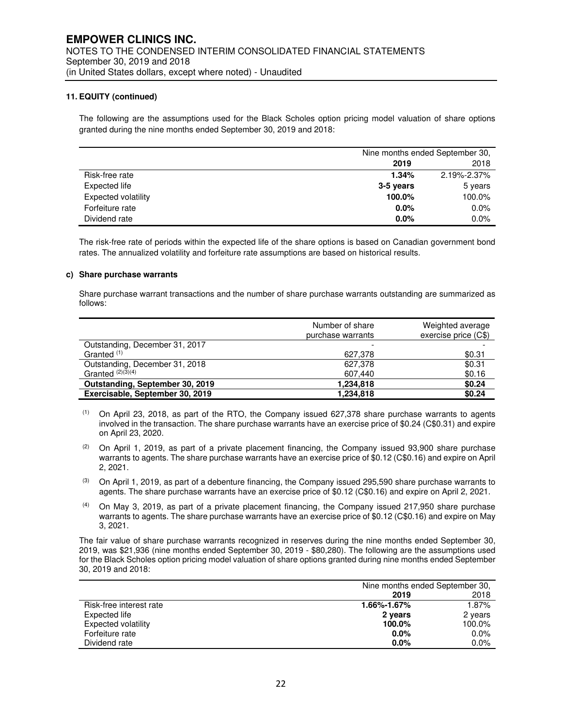The following are the assumptions used for the Black Scholes option pricing model valuation of share options granted during the nine months ended September 30, 2019 and 2018:

|                            |           | Nine months ended September 30, |  |
|----------------------------|-----------|---------------------------------|--|
|                            | 2019      | 2018                            |  |
| Risk-free rate             | 1.34%     | 2.19%-2.37%                     |  |
| Expected life              | 3-5 years | 5 years                         |  |
| <b>Expected volatility</b> | 100.0%    | 100.0%                          |  |
| Forfeiture rate            | 0.0%      | 0.0%                            |  |
| Dividend rate              | 0.0%      | 0.0%                            |  |

The risk-free rate of periods within the expected life of the share options is based on Canadian government bond rates. The annualized volatility and forfeiture rate assumptions are based on historical results.

#### **c) Share purchase warrants**

Share purchase warrant transactions and the number of share purchase warrants outstanding are summarized as follows:

|                                 | Number of share<br>purchase warrants | Weighted average<br>exercise price (C\$) |
|---------------------------------|--------------------------------------|------------------------------------------|
| Outstanding, December 31, 2017  |                                      |                                          |
| Granted <sup>(1)</sup>          | 627.378                              | \$0.31                                   |
| Outstanding, December 31, 2018  | 627,378                              | \$0.31                                   |
| Granted $(2)(3)(4)$             | 607,440                              | \$0.16                                   |
| Outstanding, September 30, 2019 | 1,234,818                            | \$0.24                                   |
| Exercisable, September 30, 2019 | 1,234,818                            | \$0.24                                   |

- $(1)$  On April 23, 2018, as part of the RTO, the Company issued 627,378 share purchase warrants to agents involved in the transaction. The share purchase warrants have an exercise price of \$0.24 (C\$0.31) and expire on April 23, 2020.
- (2) On April 1, 2019, as part of a private placement financing, the Company issued 93,900 share purchase warrants to agents. The share purchase warrants have an exercise price of \$0.12 (C\$0.16) and expire on April 2, 2021.
- $(3)$  On April 1, 2019, as part of a debenture financing, the Company issued 295,590 share purchase warrants to agents. The share purchase warrants have an exercise price of \$0.12 (C\$0.16) and expire on April 2, 2021.
- $(4)$  On May 3, 2019, as part of a private placement financing, the Company issued 217,950 share purchase warrants to agents. The share purchase warrants have an exercise price of \$0.12 (C\$0.16) and expire on May 3, 2021.

The fair value of share purchase warrants recognized in reserves during the nine months ended September 30, 2019, was \$21,936 (nine months ended September 30, 2019 - \$80,280). The following are the assumptions used for the Black Scholes option pricing model valuation of share options granted during nine months ended September 30, 2019 and 2018:

|                         |             | Nine months ended September 30, |  |  |  |
|-------------------------|-------------|---------------------------------|--|--|--|
|                         | 2019        | 2018                            |  |  |  |
| Risk-free interest rate | 1.66%-1.67% | 1.87%                           |  |  |  |
| Expected life           | 2 years     | 2 years                         |  |  |  |
| Expected volatility     | 100.0%      | 100.0%                          |  |  |  |
| Forfeiture rate         | $0.0\%$     | $0.0\%$                         |  |  |  |
| Dividend rate           | $0.0\%$     | $0.0\%$                         |  |  |  |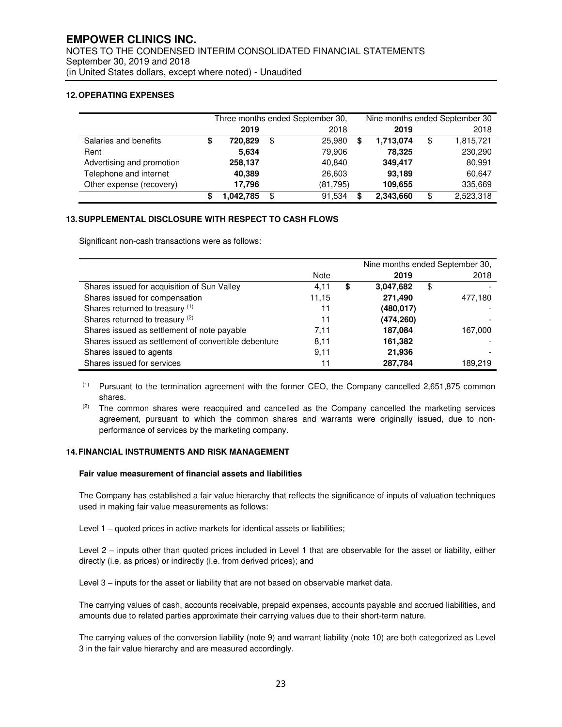### **12. OPERATING EXPENSES**

|                           | Three months ended September 30, |          |     |          | Nine months ended September 30 |           |    |           |
|---------------------------|----------------------------------|----------|-----|----------|--------------------------------|-----------|----|-----------|
|                           |                                  | 2019     |     | 2018     |                                | 2019      |    | 2018      |
| Salaries and benefits     | S                                | 720.829  | \$  | 25,980   | \$                             | 1,713,074 | \$ | 1,815,721 |
| Rent                      |                                  | 5,634    |     | 79,906   |                                | 78,325    |    | 230,290   |
| Advertising and promotion |                                  | 258,137  |     | 40,840   |                                | 349,417   |    | 80,991    |
| Telephone and internet    |                                  | 40.389   |     | 26,603   |                                | 93,189    |    | 60,647    |
| Other expense (recovery)  |                                  | 17.796   |     | (81,795) |                                | 109,655   |    | 335,669   |
|                           |                                  | ,042,785 | \$. | 91,534   | S                              | 2,343,660 | S  | 2,523,318 |

### **13. SUPPLEMENTAL DISCLOSURE WITH RESPECT TO CASH FLOWS**

Significant non-cash transactions were as follows:

|                                                      |       | Nine months ended September 30, |    |         |  |
|------------------------------------------------------|-------|---------------------------------|----|---------|--|
|                                                      | Note  | 2019                            |    | 2018    |  |
| Shares issued for acquisition of Sun Valley          | 4,11  | \$<br>3,047,682                 | \$ |         |  |
| Shares issued for compensation                       | 11.15 | 271,490                         |    | 477,180 |  |
| Shares returned to treasury (1)                      | 11    | (480,017)                       |    |         |  |
| Shares returned to treasury (2)                      | 11    | (474, 260)                      |    |         |  |
| Shares issued as settlement of note payable          | 7.11  | 187,084                         |    | 167,000 |  |
| Shares issued as settlement of convertible debenture | 8.11  | 161,382                         |    |         |  |
| Shares issued to agents                              | 9,11  | 21,936                          |    |         |  |
| Shares issued for services                           | 11    | 287,784                         |    | 189.219 |  |

- (1) Pursuant to the termination agreement with the former CEO, the Company cancelled 2,651,875 common shares.
- $(2)$  The common shares were reacquired and cancelled as the Company cancelled the marketing services agreement, pursuant to which the common shares and warrants were originally issued, due to nonperformance of services by the marketing company.

#### **14. FINANCIAL INSTRUMENTS AND RISK MANAGEMENT**

#### **Fair value measurement of financial assets and liabilities**

The Company has established a fair value hierarchy that reflects the significance of inputs of valuation techniques used in making fair value measurements as follows:

Level 1 – quoted prices in active markets for identical assets or liabilities;

Level 2 – inputs other than quoted prices included in Level 1 that are observable for the asset or liability, either directly (i.e. as prices) or indirectly (i.e. from derived prices); and

Level 3 – inputs for the asset or liability that are not based on observable market data.

The carrying values of cash, accounts receivable, prepaid expenses, accounts payable and accrued liabilities, and amounts due to related parties approximate their carrying values due to their short-term nature.

The carrying values of the conversion liability (note 9) and warrant liability (note 10) are both categorized as Level 3 in the fair value hierarchy and are measured accordingly.